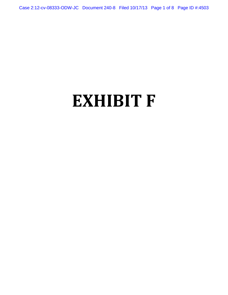Case 2:12-cv-08333-ODW-JC Document 240-8 Filed 10/17/13 Page 1 of 8 Page ID #:4503

# **EXHIBIT F**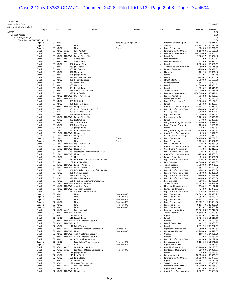# Case 2:12-cv-08333-ODW-JC Document 240-8 Filed 10/17/13 Page 2 of 8 Page ID #:4504

Prenda Law<br>Palance Sheet Detail

| <b>Balance Sheet Detail</b><br>As of December 31, 2012 |                             |                                |                           |                                                                                      |                                  |                           |                                                          |                            | 01/03/13                                        |
|--------------------------------------------------------|-----------------------------|--------------------------------|---------------------------|--------------------------------------------------------------------------------------|----------------------------------|---------------------------|----------------------------------------------------------|----------------------------|-------------------------------------------------|
|                                                        | Type                        | Date                           | Num                       | Name                                                                                 | Memo                             | Clr                       | Split                                                    | Amount                     | Balance                                         |
| <b>ASSETS</b><br><b>Current Assets</b>                 |                             |                                |                           |                                                                                      |                                  |                           |                                                          |                            | 0.00<br>0.00                                    |
| Checking/Savings                                       |                             |                                |                           |                                                                                      |                                  |                           |                                                          |                            | 0.00                                            |
|                                                        | Chase Bank OPERATING xx6927 |                                |                           |                                                                                      |                                  |                           |                                                          |                            | 0.00                                            |
|                                                        | Deposit<br>Deposit          | 01/01/12<br>01/03/12           |                           | Pirates                                                                              | Account Opening Balance<br>Chase | $\sqrt{}$<br>$\sqrt{}$    | Opening Balance Equity<br>-SPLIT-                        |                            | 16,218.43 16,218.43<br>248,332.16 264,550.59    |
|                                                        | Deposit                     | 01/03/12                       |                           | Pirates                                                                              | Chase                            | $\sqrt{}$                 | Legal Fee Income                                         |                            | 200.00 264,750.59                               |
|                                                        | Check                       | 01/03/12 WIRE                  |                           | Paul A. Duffy                                                                        |                                  | $\sqrt{}$                 | Payments to Old Owners                                   |                            | $-5,100.00$ 259,650.59                          |
|                                                        | Check<br>Check              | 01/03/12 WIRE                  |                           | Paul Hansmeier<br>01/03/12 ELEC WD Payroll Tax - MN                                  |                                  | $\sqrt{}$                 | Payments to Old Owners<br>Payroll Tax                    |                            | -90,000.00 169,650.59<br>$-1,628.17$ 168,022.42 |
|                                                        | Check                       | 01/03/12 FEE                   |                           | Chase Bank                                                                           |                                  | $\sqrt{}$                 | Wire Transfer Fee                                        |                            | $-25.00$ 167,997.42                             |
|                                                        | Check                       | 01/03/12 FEE                   |                           | Chase Bank                                                                           |                                  | $\sqrt{}$                 | Wire Transfer Fee                                        |                            | $-25.00$ 167,972.42                             |
|                                                        | Check                       | 01/03/12<br>01/03/12           |                           | 5062 Charles Piehl                                                                   |                                  | $\sqrt{}$                 | Payroll                                                  |                            | $-2,603.83$ 165,368.59                          |
|                                                        | Check<br>Check              | 01/03/12                       |                           | 5063 Jay Kopita<br>5065 PPS Services                                                 |                                  |                           | Advertising and Promotion<br>Process Server Fees         |                            | $-250.00$ 165,118.59<br>$-190.00$ 164,928.59    |
|                                                        | Check                       | 01/03/12                       |                           | 5077 Mark Lutz                                                                       |                                  | $\sqrt{}$                 | Mark Lutz                                                |                            | $-4,102.19$ 160,826.40                          |
|                                                        | Check                       | 01/03/12                       |                           | 5078 Joseph Perea                                                                    |                                  | $\sqrt{}$                 | Payroll                                                  |                            | $-3,413.95$ 157,412.45                          |
|                                                        | Check<br>Check              | 01/03/12<br>01/03/12           |                           | 5079 Douglas Wahlgren<br>5080 Robert Balzebre                                        |                                  | $\sqrt{}$                 | Payroll<br><b>XSC Digital Corp</b>                       |                            | -729.07 156,683.38<br>$-3,000.00$ 153,683.38    |
|                                                        | Check                       | 01/03/12                       |                           | 5082 Mark Lutz                                                                       |                                  | $\sqrt{}$                 | Reimbursement                                            |                            | -682.37 153,001.01                              |
|                                                        | Check                       | 01/03/12                       |                           | 5083 Mark Lutz                                                                       |                                  | $\sqrt{}$                 | Payroll                                                  |                            | $-1,000.00$ 152,001.01                          |
|                                                        | Check<br>Check              | 01/03/12<br>01/03/12           |                           | 5084 Joseph Perea<br>5086 Chase Card Services                                        |                                  | $\sqrt{}$<br>$\sqrt{}$    | Payroll<br><b>Travel Expense</b>                         |                            | -681.82 151,319.19<br>$-21,000.00$ 130,319.19   |
|                                                        | Check                       | 01/03/12                       |                           | 5093 John Steele                                                                     |                                  | $\sqrt{}$                 | Payments to Old Owners                                   | $-100,000.00$              | 30,319.19                                       |
|                                                        | Check                       |                                |                           | 01/04/12 ELEC WD IRS - Payroll Tax                                                   |                                  | $\sqrt{}$                 | Federal Payroll Tax                                      | $-898.98$                  | 29,420.21                                       |
|                                                        | Check                       |                                | 01/04/12 ELEC WD ADP      |                                                                                      |                                  |                           | Payroll Service Fees                                     | $-47.27$                   | 29,372.94                                       |
|                                                        | Check<br>Check              | 01/04/12<br>01/04/12           |                           | 5091 Neil Rubin<br>5095 Juan Rodriguez                                               |                                  | $\sqrt{}$<br>$\sqrt{}$    | Legal & Professional Fees<br>Payroll                     | $-1,220.00$<br>$-261.60$   | 28,152.94<br>27,891.34                          |
|                                                        | Check                       |                                |                           | 01/05/12 ELEC WD Bluepay, Inc.                                                       |                                  | $\sqrt{}$                 | <b>Credit Card Processing Fees</b>                       | -3,281.17                  | 24,610.17                                       |
|                                                        | Check                       | 01/05/12                       |                           | 5081 Carey, Danis & Lowe, LLC                                                        |                                  |                           | Legal & Professional Fees                                | $-240.00$                  | 24,370.17                                       |
|                                                        | Check<br>Check              | 01/05/12<br>01/05/12           |                           | 5094 South Florida Title<br>5096 Steele Hansmeier                                    |                                  | $\sqrt{}$<br>$\sqrt{}$    | <b>Rent Expense</b><br>Legal Fee Income                  | $-3,300.00$<br>$-2,000.00$ | 21,070.17<br>19,070.17                          |
|                                                        | Check                       |                                |                           | 01/09/12 ELEC WD Payroll Tax - MN                                                    |                                  | $\sqrt{}$                 | Unemployment Tax                                         | $-3,721.00$                | 15,349.17                                       |
|                                                        | Check                       | 01/09/12                       |                           | 5087 Brett Gibbs                                                                     |                                  | $\sqrt{}$                 | Payroll                                                  | $-4,540.00$                | 10,809.17                                       |
|                                                        | Check                       | 01/09/12                       |                           | 5089 Tim Anderson                                                                    |                                  |                           | Filing Fees & Legal Expenses                             | $-2,130.00$                | 8,679.17                                        |
|                                                        | Check<br>Check              | 01/09/12<br>01/09/12           |                           | 5090 Doug McIntyre<br>5100 Joseph Perea                                              |                                  | $\sqrt{}$<br>$\sqrt{}$    | <b>Local Counsel Payments</b><br>Payroll                 | $-4,180.00$<br>$-416.66$   | 4,499.17<br>4,082.51                            |
|                                                        | Check                       | 01/11/12                       |                           | 5092 Raphael Whitford                                                                |                                  |                           | Filing Fees & Legal Expenses                             | $-510.00$                  | 3,572.51                                        |
|                                                        | Check                       |                                |                           | 01/12/12 ELEC WD Bluepay, Inc.                                                       |                                  | $\sqrt{}$                 | Credit Card Processing Fees                              | $-25.00$                   | 3,547.51                                        |
|                                                        | Check                       |                                |                           | 01/12/12 ELEC WD Bluepay, Inc.                                                       | Chase                            | $\sqrt{}$                 | Credit Card Processing Fees                              | -300.00                    | 3,247.51                                        |
|                                                        | Deposit<br>Deposit          | 01/13/12<br>01/13/12           |                           | Pirates<br>Pirates                                                                   | Chase                            | $\sqrt{}$                 | Legal Fee Income<br>Legal Fee Income                     | 38,490.00<br>1,769.64      | 41,737.51<br>43,507.15                          |
|                                                        | Check                       |                                |                           | 01/18/12 ELEC WD IRS - Payroll Tax                                                   |                                  | $\sqrt{}$                 | Federal Payroll Tax                                      | $-419.20$                  | 43,087.95                                       |
|                                                        | Check                       |                                |                           | 01/18/12 ELEC WD Bluepay, Inc.                                                       |                                  | $\sqrt{}$                 | Credit Card Processing Fees                              | $-231.29$                  | 42,856.66                                       |
|                                                        | Check<br>Check              | 01/18/12                       |                           | 01/18/12 ELEC WD Bluepay, Inc.<br>5051 Mediacom Communication Corp                   |                                  | $\sqrt{}$                 | Credit Card Processing Fees<br>Legal & Professional Fees | $-43.94$<br>$-20.20$       | 42,812.72<br>42,792.52                          |
|                                                        | Check                       |                                |                           | 01/19/12 ELEC WD Bluepay, Inc.                                                       |                                  | $\sqrt{}$                 | Credit Card Processing Fees                              | $-129.00$                  | 42,663.52                                       |
|                                                        | Check                       | 01/20/12                       | 5104 LRI                  |                                                                                      |                                  | $\sqrt{}$                 | <b>Process Server Fees</b>                               | $-65.00$                   | 42,598.52                                       |
|                                                        | Check                       | 01/23/12                       |                           | 5012 RCN Telecom Service of Ilinois, LLC                                             |                                  | $\sqrt{}$                 | Legal & Professional Fees                                | $-20.20$                   | 42,578.32<br>35,978.32                          |
|                                                        | Check<br>Check              | 01/24/12                       |                           | 5102 John Mahshie<br>01/26/12 ELEC WD Bank of America                                |                                  | $\sqrt{}$<br>$\sqrt{}$    | Rent Expense<br><b>Travel Expense</b>                    | $-6,600.00$<br>$-1,000.00$ | 34,978.32                                       |
|                                                        | Check                       |                                |                           | 01/26/12 ELEC WD Bank of America                                                     |                                  | $\sqrt{}$                 | <b>Travel Expense</b>                                    | $-351.26$                  | 34,627.06                                       |
|                                                        | Check                       | 01/27/12                       |                           | 5058 RCN Telecom Service of Ilinois, LLC                                             |                                  |                           | Legal & Professional Fees                                | $-20.20$                   | 34,606.86                                       |
|                                                        | Check<br>Check              | 01/30/12<br>01/30/12           |                           | 5038 Comcast Legal<br>5039 Comcast Legal                                             |                                  | $\sqrt{}$                 | Legal & Professional Fees<br>Legal & Professional Fees   | $-3,750.00$<br>$-360.00$   | 30,856.86<br>30,496.86                          |
|                                                        | Check                       | 01/30/12                       |                           | 5099 Maria Pierantozzi                                                               |                                  | $\sqrt{}$                 | Legal & Professional Fees                                | $-466.00$                  | 30,030.86                                       |
|                                                        | Check                       | 01/30/12                       |                           | 5106 Regus Management Group, LLC                                                     |                                  | √                         | <b>Rent Expense</b>                                      | -600.86                    | 29,430.00                                       |
|                                                        | Check<br>Check              |                                |                           | 01/31/12 ELEC WD American Express<br>01/31/12 ELEC WD American Express               |                                  |                           | <b>Travel Expense</b>                                    | $-5,483.64$                | 23,946.36                                       |
|                                                        | Check                       |                                |                           | 01/31/12 ELEC WD American Express                                                    |                                  | $\sqrt{}$                 | Meals and Entertainment<br>Postage and Delivery          | $-798.64$<br>$-74.99$      | 23,147.72<br>23,072.73                          |
|                                                        | Check                       | 01/31/12                       |                           | 5071 Cricket Communications                                                          |                                  |                           | Legal & Professional Fees                                |                            | $-26.80$ 23,045.93                              |
|                                                        | Deposit                     | 02/01/12                       |                           | Pirates                                                                              | From xx6943                      |                           | Legal Fee Income                                         |                            | 158, 349. 28 181, 395. 21                       |
|                                                        | Deposit<br>Deposit          | 02/01/12<br>02/01/12           |                           | Pirates<br>Pirates                                                                   | From xx6943<br>From xx6943       | $\checkmark$<br>$\sqrt{}$ | Legal Fee Income<br>Legal Fee Income                     |                            | 27,054.03 208,449.24<br>14,552.31 223,001.55    |
|                                                        | Deposit                     | 02/01/12                       |                           | Pirates                                                                              | From xx6943                      | $\sqrt{}$                 | Legal Fee Income                                         |                            | 11,682.71 234,684.26                            |
|                                                        | Deposit                     | 02/01/12                       |                           | Pirates                                                                              | From xx6943                      |                           | Legal Fee Income                                         |                            | 6,196.40 240,880.66                             |
|                                                        | Deposit<br>Check            | 02/01/12<br>02/01/12 WIRE      |                           | Pirates<br>Paul Hansmeier                                                            | From xx6943                      |                           | Legal Fee Income<br>Payments to Old Owners               |                            | 1,152.62 242,033.28<br>$-15,321.28$ 226,712.00  |
|                                                        | Check                       |                                | 02/01/12 ELEC WD Citibank |                                                                                      |                                  |                           | <b>Travel Expense</b>                                    |                            | $-6,889.19$ 219,822.81                          |
|                                                        | Check                       | 02/01/12                       |                           | 5115 Mark Lutz                                                                       |                                  | $\sqrt{}$                 | Payroll                                                  |                            | $-5,188.62$ 214,634.19                          |
|                                                        | Check                       | 02/01/12                       |                           | 5116 Joseph Perea                                                                    |                                  | $\checkmark$              | Payroll                                                  |                            | $-3,420.62$ 211,213.57                          |
|                                                        | Check<br>Check              |                                | 02/02/12 ELEC WD ADP      | 02/02/12 ELEC WD ADT / Defender Security                                             |                                  | $\sqrt{}$<br>$\sqrt{}$    | Utilities<br>Payroll Service Fees                        |                            | $-105.93$ 211,107.64<br>$-47.27$ 211,060.37     |
|                                                        | Check                       | 02/02/12                       |                           | 5117 Erica Tranese                                                                   |                                  | $\sqrt{}$                 | Payroll                                                  |                            | $-2,292.74$ 208,767.63                          |
|                                                        | Check                       | 02/03/12 WIRE                  |                           | Lightspeed Media Corporation                                                         | To xx6943                        |                           | Lightspeed Media Corp                                    |                            | $-1,950.00$ 206,817.63                          |
|                                                        | Check                       |                                | 02/03/12 ELEC WD Pirates  |                                                                                      | From xx6943                      | $\sqrt{}$                 | Lightspeed Media Corp                                    |                            | $-2,200.00$ 204,617.63                          |
|                                                        | Check<br>Check              |                                |                           | 02/03/12 ELEC WD ADT / Defender Security<br>02/03/12 ELEC WD ADT / Defender Security |                                  | $\sqrt{ }$<br>$\sqrt{}$   | Utilities<br>Utilities                                   |                            | $-159.43$ 204,458.20<br>$-77.02$ 204,381.18     |
|                                                        | Check                       | 02/03/12                       |                           | 5041 AOL Legal Department                                                            |                                  | $\checkmark$              | Legal & Professional Fees                                |                            | $-89.00$ 204,292.18                             |
|                                                        | Deposit                     | 02/06/12                       |                           | Prenda Law Trust Account                                                             | From xx6943                      | $\sqrt{}$                 | Reimbursement                                            |                            | 7,184.80 211,476.98                             |
|                                                        | Deposit                     | 02/06/12                       |                           | ADP                                                                                  | From xx6943                      | $\sqrt{}$                 | Payroll Service Fees                                     |                            | 3.13 211,480.11                                 |
|                                                        | Check<br>Check              | 02/06/12 WIRE<br>02/06/12 WIRE |                           | <b>OpenMind Solutions</b><br>Lightspeed Media Corporation                            | From xx6943                      | $\sqrt{}$                 | <b>OpenMind Solutions</b><br>Lightspeed Media Corp       |                            | $-7,184.80$ 204,295.31<br>$-200.00$ 204,095.31  |
|                                                        | Check                       | 02/06/12                       |                           | 5118 Joseph Perea                                                                    |                                  | $\sqrt{}$                 | Payroll                                                  |                            | -416.00 203,679.31                              |
|                                                        | Check                       | 02/06/12                       |                           | 5119 John Steele                                                                     |                                  | $\sqrt{}$                 | Reimbursement                                            |                            | $-10,300.00$ 193,379.31                         |
|                                                        | Check<br>Check              | 02/06/12<br>02/06/12           |                           | 5120 John Steele<br>5121 Steele Law                                                  |                                  | $\sqrt{}$                 | Payments to Old Owners<br>Payroll                        |                            | -75,000.00 118,379.31<br>$-3,268.12$ 115,111.19 |
|                                                        | Check                       | 02/06/12                       |                           | 5122 Chase Card Services                                                             |                                  | $\checkmark$              | <b>Travel Expense</b>                                    |                            | $-14,725.22$ 100,385.97                         |
|                                                        | Check                       | 02/07/12 WIRE                  |                           | Paul Hansmeier                                                                       |                                  | $\sqrt{}$                 | Payments to Old Owners                                   |                            | $-75,000.00$ 25,385.97                          |
|                                                        | Check                       | 02/08/12                       |                           | 5110 ADP                                                                             |                                  | $\sqrt{}$                 | Payroll Service Fees                                     |                            | $-115.00$ 25,270.97                             |
|                                                        | Check                       |                                |                           | 02/09/12 ELEC WD Bluepay, Inc.                                                       |                                  |                           | <b>Credit Card Processing Fees</b>                       |                            | $-2,887.71$ 22,383.26                           |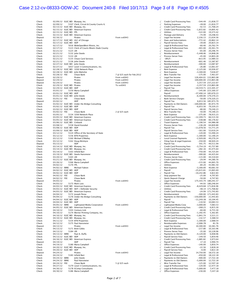# Case 2:12-cv-08333-ODW-JC Document 240-8 Filed 10/17/13 Page 3 of 8 Page ID #:4505

| Check            |                              |                           | 02/09/12 ELEC WD Bluepay, Inc.               |                            | $\sqrt{}$              | Credit Card Processing Fees              | $-544.49$             | 21.838.77                                         |
|------------------|------------------------------|---------------------------|----------------------------------------------|----------------------------|------------------------|------------------------------------------|-----------------------|---------------------------------------------------|
| Check            | 02/09/12                     |                           | 5107 Clerk, Circuit & County Courts IL       |                            |                        | Parking Expenses                         | $-28.00$              | 21,810.77                                         |
| Check            |                              |                           | 02/13/12 ELEC WD Bluepay, Inc.               |                            | $\sqrt{}$              | Credit Card Processing Fees              | $-42.53$              | 21,768.24                                         |
| Check            |                              |                           | 02/15/12 ELEC WD American Express            |                            | $\checkmark$           | <b>Credit Card Processing Fees</b>       | -1,872.82             | 19,895.42                                         |
| Check            |                              | 02/15/12 ELEC WD FPL      |                                              |                            | $\checkmark$           | Utilities                                | $-522.00$             | 19,373.42                                         |
| Check            |                              |                           | 02/15/12 ELEC WD American Express            |                            | $\sqrt{}$              | Postage and Delivery                     | -74.99                | 19,298.43                                         |
| Deposit          | 02/16/12                     |                           | Pirates                                      | From xx6943                |                        | Legal Fee Income                         | 2,336.13              | 21,634.56                                         |
| Check            |                              |                           | 02/17/12 ELEC WD ULC of Chicago              |                            |                        | Dues and Subscriptions                   | $-772.42$             | 20,862.14                                         |
| Check            |                              | 02/17/12 ELEC WD ADP      |                                              |                            | $\sqrt{}$              | Payroll Service Fees                     | $-39.00$              | 20,823.14                                         |
| Check            | 02/17/12                     |                           | 5016 WideOpenWest Illinois, Inc.             |                            | $\sqrt{}$              | Legal & Professional Fees                | $-60.40$              | 20,762.74                                         |
| Check            | 02/17/12                     |                           | 5123 Clerk of Courts Miami-Dade County       |                            | $\sqrt{}$              | Legal & Professional Fees                | $-401.00$             | 20,361.74                                         |
| Check            | 02/21/12                     | 5125 LRI                  |                                              |                            | $\checkmark$           | Process Server Fees                      | $-65.00$              | 20,296.74                                         |
| Check            | 02/21/12                     |                           | 5132 John Steele                             |                            | $\sqrt{}$              | Reimbursement                            | $-5,448.46$           | 14,848.28                                         |
| Check            | 02/21/12                     | 5133 LRI                  |                                              |                            | $\sqrt{}$              | <b>Process Server Fees</b>               | $-45.00$              | 14,803.28                                         |
| Check            | 02/21/12                     |                           | 5135 Chase Card Services                     |                            | $\sqrt{}$              | -SPLIT-                                  | -813.95               | 13,989.33                                         |
| Check            | 02/21/12                     |                           | 5136 John Steele                             |                            | $\sqrt{}$              | Reimbursement                            | $-601.46$             | 13,387.87                                         |
| Check            |                              |                           | 02/27/12 ELEC WD John Steele                 |                            | $\sqrt{}$              | Reimbursement                            | $-300.00$             | 13,087.87                                         |
| Check            | 02/27/12                     |                           | 5057 Level 3 Communications, Inc.            |                            | $\sqrt{}$              | Legal & Professional Fees                | $-26.80$              | 13,061.07                                         |
| Check            |                              |                           | 02/28/12 ELEC WD 3200 Network Place          |                            | $\sqrt{}$              | <b>Rent Expense</b>                      | $-2,125.00$           | 10,936.07                                         |
| Check            |                              |                           | 02/28/12 ELEC WD John Mahshie                |                            | $\checkmark$           | <b>Rent Expense</b>                      | $-3,300.00$           | 7,636.07                                          |
| Check            | 02/28/12 FEE                 |                           | Chase Bank                                   | 7 @ \$25 each for Feb.2012 | $\sqrt{}$              | Wire Transfer Fee                        | $-175.00$             | 7,461.07                                          |
| Deposit          | 02/29/12                     |                           | Pirates                                      | From xx6943                | $\sqrt{}$              | Legal Fee Income                         | 126,404.01 133,865.08 |                                                   |
| Deposit          | 02/29/12                     |                           | Pirates                                      | From xx6943                |                        | Legal Fee Income                         | 100,000.00 233,865.08 |                                                   |
| Deposit<br>Check | 02/29/12                     |                           | Pirates<br>Pirates                           | From xx6943<br>To xx6943   |                        | Legal Fee Income                         |                       | 3,357.59 237,222.67                               |
| Check            | 02/29/12 ELEC WD             | 02/29/12 ELEC WD ADP      |                                              |                            | $\sqrt{}$<br>$\sqrt{}$ | Legal Fee Income<br>Payroll Tax          |                       | $-3,357.59$ 233,865.08<br>$-10,559.71$ 223,305.37 |
| Check            | 03/01/12                     |                           | 5159 Maria Campbell                          |                            |                        | Office Expenses                          |                       | $-145.00$ 223,160.37                              |
| Check            |                              | 03/01/12 ELEC WD ADP      |                                              |                            |                        | Payroll                                  | -37,490.14 185,670.23 |                                                   |
| Check            | 03/01/12 ELEC WD             |                           | Iohn Steele                                  |                            | $\sqrt{}$              | Reimbursement                            |                       | $-6,300.00$ 179,370.23                            |
| Check            | 03/01/12 FEE                 |                           | Chase Bank                                   |                            | $\checkmark$           | <b>Bank Service Charges</b>              |                       | -50.00 179,320.23                                 |
| Deposit          | 03/02/12                     |                           | ADP                                          |                            | $\sqrt{}$              | Payroll Tax                              |                       | 6,653.56 185,973.79                               |
| Check            |                              |                           | 03/02/12 ELEC WD Under the Bridge Consulting |                            | $\sqrt{}$              | Payments to Old Owners                   | $-100,000.00$         | 85,973.79                                         |
| Check            |                              | 03/02/12 ELEC WD ADP      |                                              |                            | $\checkmark$           | Payroll Tax                              | -6,653.56             | 79,320.23                                         |
| Check            |                              | 03/02/12 ELEC WD ADP      |                                              |                            | $\sqrt{}$              | Payroll Service Fees                     | $-80.00$              | 79,240.23                                         |
| Check            | 03/02/12 FEE                 |                           | Chase Bank                                   | 2 @ \$25 each              | $\sqrt{}$              | Wire Transfer Fee                        | $-50.00$              | 79,190.23                                         |
| Check            | 03/05/12                     |                           | 5134 3200 Network Place                      |                            | $\sqrt{}$              | <b>Rent Expense</b>                      | $-275.00$             | 78,915.23                                         |
| Check            |                              |                           | 03/05/12 ELEC WD American Express            |                            | $\sqrt{}$              | Credit Card Processing Fees              | -12,399.73            | 66,515.50                                         |
| Check            |                              |                           | 03/05/12 ELEC WD American Express            |                            | $\checkmark$           | Credit Card Processing Fees              | $-338.88$             | 66,176.62                                         |
| Check            |                              | 03/06/12 ELEC WD Citibank |                                              |                            | $\sqrt{}$              | <b>Travel Expense</b>                    | $-1,190.54$           | 64,986.08                                         |
| Check            | 03/08/12                     |                           | 5158 David Kozubal                           |                            |                        | Process Server Fees                      | $-136.28$             | 64,849.80                                         |
| Check            |                              | 03/08/12 ELEC WD ADP      |                                              |                            | $\sqrt{}$              | Payroll Tax                              | $-11,078.56$          | 53,771.24                                         |
| Check            |                              | 03/09/12 ELEC WD ADP      |                                              |                            | $\sqrt{}$              | Payroll Service Fees                     | $-161.00$             | 53,610.24                                         |
| Check            | 03/12/12                     |                           | 5124 Office of the Secretary of State        |                            | $\checkmark$           | Legal & Professional Fees                | $-120.00$             | 53,490.24                                         |
| Check            | 03/12/12                     |                           | 5156 BTN Properties                          |                            | $\sqrt{}$              | <b>Rent Expense</b>                      | $-1,300.00$           | 52,190.24                                         |
| Check            | 03/12/12                     |                           | 5160 Michael O'Malley                        |                            | $\sqrt{}$              | <b>Local Counsel Payments</b>            | $-2,920.00$           | 49,270.24                                         |
| Check            | 03/12/12                     |                           | 5162 Doug McIntyre                           |                            | $\checkmark$           | Filing Fees & Legal Expenses             | $-350.00$             | 48,920.24                                         |
| Deposit          | 03/13/12                     |                           | ADP                                          |                            | $\sqrt{}$              | Payroll Tax                              | 591.75                | 49,511.99                                         |
| Check            |                              |                           | 03/14/12 ELEC WD Bluepay, Inc.               |                            | $\sqrt{}$              | Credit Card Processing Fees              | $-3,754.19$           | 45,757.80                                         |
| Check            |                              |                           | 03/14/12 ELEC WD Bluepay, Inc.               |                            | $\checkmark$           | Credit Card Processing Fees              | $-282.16$             | 45,475.64                                         |
| Check            | 03/19/12                     |                           | 5163 Infield Barr                            |                            | $\sqrt{}$              | Legal & Professional Fees                | $-750.00$             | 44,725.64                                         |
| Check            |                              |                           | 03/19/12 ELEC WD Steele Hansmeier            |                            | $\sqrt{}$              | Reimbursement                            | $-300.00$             | 44,425.64                                         |
| Check            | 03/20/12                     | 5165 LRI                  |                                              |                            | $\sqrt{}$              | Process Server Fees                      | $-115.00$             | 44,310.64                                         |
| Check            |                              |                           | 03/21/12 ELEC WD Bluepay, Inc.               |                            | $\checkmark$           | Credit Card Processing Fees              | $-29.94$              | 44,280.70                                         |
| Check            | 03/26/12                     |                           | 5166 Maria Campbell                          |                            | $\checkmark$           | Office Expenses                          | $-215.00$             | 44,065.70                                         |
| Check            | 04/02/12                     | 5170 FPL                  |                                              |                            | $\sqrt{}$              | Utilities                                | $-84.20$              | 43,981.50                                         |
| Check            | 04/02/12 WIRE                |                           | Michael Fabion                               |                            | $\sqrt{}$              | <b>Rent Expense</b>                      | $-3,300.00$           | 40,681.50                                         |
| Check            | 04/02/12 ELEC WD             |                           | ADP                                          |                            | $\sqrt{}$              | Payroll                                  | $-25,615.81$          | 15,065.69                                         |
| Check            | 04/02/12 ELEC WD             |                           | ADP                                          |                            | $\sqrt{}$              | Payroll Tax<br>Stop payment fee          | $-10,242.86$          | 4,822.83                                          |
| Check<br>Check   | 04/02/12 FEE<br>04/02/12 FEE |                           | Chase Bank<br>Chase Bank                     |                            | $\checkmark$           |                                          | $-25.00$<br>$-50.00$  | 4,797.83<br>4,747.83                              |
| Deposit          | 04/03/12                     |                           | Pirates                                      | From xx6943                | $\sqrt{}$              | Quick Deposit Charge<br>Legal Fee Income | 175,543.74 180,291.57 |                                                   |
| Check            | 04/03/12                     |                           | 5173 Mark Lutz                               |                            | $\checkmark$           | Office Expenses                          |                       | -44.93 180,246.64                                 |
| Check            |                              |                           | 04/03/12 ELEC WD American Express            |                            | $\sqrt{}$              | Credit Card Processing Fees              |                       | -8,429.68 171,816.96                              |
| Check            |                              |                           | 04/03/12 ELEC WD ADT / Defender Security     |                            | $\sqrt{}$              | Utilities                                |                       | $-48.14$ 171,768.82                               |
| Check            |                              |                           | 04/03/12 ELEC WD American Express            |                            | $\checkmark$           | <b>Credit Card Processing Fees</b>       |                       | $-24.99$ 171,743.83                               |
| Check            | 04/04/12                     |                           | 5172 Joseph Perea                            |                            |                        | Reimbursement                            |                       | -300.00 171,443.83                                |
| Check            | 04/04/12                     |                           | 5176 Under the Bridge Consulting             |                            |                        | Payments to Old Owners                   | $-150,000.00$         | 21,443.83                                         |
| Check            |                              | 04/04/12 ELEC WD ADP      |                                              |                            | $\checkmark$           | Payroll                                  | $-11,249.38$          | 10,194.45                                         |
| Check            |                              | 04/04/12 ELEC WD ADP      |                                              |                            | $\sqrt{}$              | Payroll Tax                              | $-110.92$             | 10,083.53                                         |
| Check            | 04/05/12 WIRE                |                           | Lightspeed Media Corporation                 | From xx6943                | $\checkmark$           | Lightspeed Media Corp                    | $-3,000.00$           | 7,083.53                                          |
| Check            |                              |                           | 04/05/12 ELEC WD American Express            |                            |                        | Credit Card Processing Fees              | $-268.23$             | 6,815.30                                          |
| Check            | 04/10/12                     |                           | 5103 Century Link                            |                            |                        | Legal & Professional Fees                | $-60.00$              | 6,755.30                                          |
| Check            | 04/10/12                     |                           | 5174 Werner Printing Company, Inc.           |                            |                        | Office Expenses                          | $-1,392.45$           | 5,362.85                                          |
| Check            |                              |                           | 04/10/12 ELEC WD Bluepay, Inc.               |                            | $\sqrt{}$              | Credit Card Processing Fees              | $-1,841.74$           | 3,521.11                                          |
| Check            |                              |                           | 04/10/12 ELEC WD Bluepay, Inc.               |                            | $\checkmark$           | Credit Card Processing Fees              | $-132.57$             | 3,388.54                                          |
| Check            | 04/11/12                     |                           | 5154 BTN Properties                          |                            |                        | Rent Expense                             | $-1,300.00$           | 2,088.54                                          |
| Check            | 04/12/12                     |                           | 5175 Paul Hansmeier                          |                            |                        | Reimbursable Expenses                    | $-2,006.78$           | 81.76                                             |
| Deposit          | 04/13/12                     |                           | Pirates                                      | From xx6943                | $\sqrt{}$              | Legal Fee Income                         | 10,300.00             | 10,381.76                                         |
| Check            | 04/13/12                     |                           | 5171 Brett Gibbs                             |                            |                        | Legal & Professional Fees                | $-217.80$             | 10,163.96                                         |
| Check            | 04/13/12                     | 5184 LRI                  |                                              |                            |                        | Process Server Fees                      | $-35.00$              | 10,128.96                                         |
| Check            | 04/13/12 WIRE                |                           | Paul A. Duffy                                |                            |                        | Payments to Old Owners                   | $-4,120.00$           | 6,008.96                                          |
| Check            |                              | 04/13/12 ELEC WD ADP      |                                              |                            |                        | Payroll Service Fees                     | $-149.50$             | 5,859.46                                          |
| Check            | 04/16/12 ELEC WD             |                           | American Express                             |                            | $\checkmark$           | Credit Card Processing Fees              | $-1,885.82$           | 3,973.64                                          |
| Deposit          | 04/19/12                     |                           | ADP                                          |                            |                        | Payroll Tax                              | 17.10                 | 3,990.74                                          |
| Check            | 04/19/12                     |                           | 5180 Maria Campbell                          |                            |                        | Office Expenses                          | $-140.00$             | 3,850.74                                          |
| Check            |                              | 04/20/12 ELEC WD          | Bluepay, Inc.                                |                            | $\sqrt{}$              | <b>Credit Card Processing Fees</b>       | $-22.56$              | 3,828.18                                          |
| Check            |                              | 04/20/12 ELEC WD ADP      |                                              |                            | $\sqrt{}$              | Payroll Service Fees                     | $-6.00$               | 3,822.18                                          |
| Deposit          | 04/24/12                     |                           | Pirates                                      | From xx6943                | $\checkmark$           | Legal Fee Income                         | 14,750.00             | 18,572.18                                         |
| Check            | 04/24/12                     |                           | 5183 Infield Barr                            |                            |                        | Legal & Professional Fees                | $-450.00$             | 18,122.18                                         |
| Check            | 04/24/12 WIRE                |                           | John Steele                                  |                            |                        | Payments to Old Owners                   | $-400.00$             | 17,722.18                                         |
| Check            | 04/24/12 WIRE                |                           | Paul Hansmeier                               |                            | $\checkmark$           | Payments to Old Owners                   | -5,000.00             | 12,722.18                                         |
| Check            | 04/24/12 FEE                 |                           | Chase Bank                                   | 5 @ \$25 each              |                        | Wire Transfer Fee                        | $-125.00$             | 12,597.18                                         |
| Check            | 04/27/12                     |                           | 5179 Level 3 Communications, Inc.            |                            |                        | Legal & Professional Fees                | $-120.00$             | 12,477.18                                         |
| Check            | 04/30/12                     |                           | 5178 EComp Consultants                       |                            | $\sqrt{}$              | Legal & Professional Fees                | $-5,000.00$           | 7,477.18                                          |
| Check            | 04/30/12                     |                           | 5186 Maria Campbell                          |                            |                        | Office Expenses                          | $-230.00$             | 7,247.18                                          |

|                                       | <b>Credit Card Processing Fees</b> | -544.49       | 21,838.77  |
|---------------------------------------|------------------------------------|---------------|------------|
|                                       | Parking Expenses                   | $-28.00$      | 21,810.77  |
| へんへんへんへんへんへんへんへんへんへんへんへんへん            | <b>Credit Card Processing Fees</b> | -42.53        | 21,768.24  |
|                                       | Credit Card Processing Fees        | $-1,872.82$   | 19,895.42  |
|                                       | Utilities                          | $-522.00$     | 19,373.42  |
|                                       | Postage and Delivery               | -74.99        | 19,298.43  |
|                                       | Legal Fee Income                   | 2,336.13      | 21,634.56  |
|                                       | Dues and Subscriptions             | -772.42       | 20,862.14  |
|                                       | Payroll Service Fees               | $-39.00$      | 20,823.14  |
|                                       | Legal & Professional Fees          | $-60.40$      | 20,762.74  |
|                                       | Legal & Professional Fees          | -401.00       | 20,361.74  |
|                                       | Process Server Fees                | $-65.00$      | 20,296.74  |
|                                       | Reimbursement                      | $-5,448.46$   | 14,848.28  |
|                                       | Process Server Fees                | -45.00        | 14,803.28  |
|                                       | -SPLIT-                            | $-813.95$     | 13,989.33  |
|                                       | Reimbursement                      | $-601.46$     | 13,387.87  |
|                                       | Reimbursement                      | $-300.00$     | 13,087.87  |
|                                       | Legal & Professional Fees          | $-26.80$      | 13,061.07  |
|                                       | <b>Rent Expense</b>                | $-2,125.00$   | 10,936.07  |
|                                       | Rent Expense                       | $-3,300.00$   | 7,636.07   |
|                                       | Wire Transfer Fee                  | -175.00       | 7,461.07   |
|                                       | Legal Fee Income                   | 126,404.01    | 133,865.08 |
|                                       | Legal Fee Income                   | 100,000.00    | 233,865.08 |
|                                       | Legal Fee Income                   | 3,357.59      | 237,222.67 |
|                                       | Legal Fee Income                   | -3,357.59     | 233,865.08 |
|                                       | Payroll Tax                        | -10,559.71    | 223,305.37 |
|                                       | Office Expenses                    | -145.00       | 223,160.37 |
|                                       | Payroll                            | $-37,490.14$  | 185,670.23 |
|                                       | Reimbursement                      | $-6,300.00$   | 179,370.23 |
|                                       | <b>Bank Service Charges</b>        | $-50.00$      | 179,320.23 |
|                                       | Payroll Tax                        | 6,653.56      | 185,973.79 |
|                                       | Payments to Old Owners             | $-100,000.00$ | 85,973.79  |
|                                       | Payroll Tax                        | -6,653.56     | 79,320.23  |
|                                       | Payroll Service Fees               | $-80.00$      | 79,240.23  |
|                                       | Wire Transfer Fee                  | $-50.00$      | 79,190.23  |
|                                       | Rent Expense                       | $-275.00$     | 78,915.23  |
|                                       | Credit Card Processing Fees        | $-12,399.73$  | 66,515.50  |
|                                       | <b>Credit Card Processing Fees</b> | $-338.88$     | 66,176.62  |
|                                       | <b>Travel Expense</b>              | $-1,190.54$   | 64,986.08  |
|                                       | Process Server Fees                | -136.28       | 64,849.80  |
|                                       | Payroll Tax                        | $-11,078.56$  | 53,771.24  |
|                                       | Payroll Service Fees               | $-161.00$     | 53,610.24  |
|                                       |                                    | $-120.00$     |            |
|                                       | Legal & Professional Fees          |               | 53,490.24  |
|                                       | Rent Expense                       | $-1,300.00$   | 52,190.24  |
|                                       | Local Counsel Payments             | $-2,920.00$   | 49,270.24  |
|                                       | Filing Fees & Legal Expenses       | -350.00       | 48,920.24  |
|                                       | Payroll Tax                        | 591.75        | 49,511.99  |
|                                       | Credit Card Processing Fees        | $-3,754.19$   | 45,757.80  |
|                                       | Credit Card Processing Fees        | -282.16       | 45,475.64  |
|                                       | Legal & Professional Fees          | -750.00       | 44,725.64  |
|                                       | Reimbursement                      | -300.00       | 44,425.64  |
|                                       | Process Server Fees                | $-115.00$     | 44,310.64  |
|                                       |                                    |               |            |
|                                       | Credit Card Processing Fees        | -29.94        | 44,280.70  |
|                                       | Office Expenses                    | $-215.00$     | 44,065.70  |
|                                       | Utilities                          | -84.20        | 43,981.50  |
|                                       | Rent Expense                       | $-3,300.00$   | 40,681.50  |
|                                       | Payroll                            | -25,615.81    | 15,065.69  |
|                                       | Payroll Tax                        | $-10,242.86$  | 4,822.83   |
|                                       | Stop payment fee                   | -25.00        | 4,797.83   |
|                                       | Quick Deposit Charge               | $-50.00$      | 4,747.83   |
| へんへんへんへんへんへんへんへんへんへんへんへんへんへんへんへんへんへん  | Legal Fee Income                   | 175,543.74    | 180,291.57 |
| $\sqrt{}$                             | <b>Office Expenses</b>             | -44.93        | 180,246.64 |
| $\sqrt{}$                             | Credit Card Processing Fees        | $-8,429.68$   | 171,816.96 |
|                                       | Utilities                          | -48.14        | 171,768.82 |
|                                       | <b>Credit Card Processing Fees</b> | -24.99        | 171,743.83 |
|                                       | Reimbursement                      | -300.00       | 171,443.83 |
|                                       | Payments to Old Owners             | $-150,000.00$ | 21,443.83  |
|                                       | Payroll                            | $-11,249.38$  | 10,194.45  |
|                                       | Payroll Tax                        | -110.92       | 10,083.53  |
|                                       | Lightspeed Media Corp              | $-3,000.00$   | 7,083.53   |
|                                       | Credit Card Processing Fees        | $-268.23$     | 6,815.30   |
|                                       | Legal & Professional Fees          | $-60.00$      | 6,755.30   |
|                                       | Office Expenses                    | $-1,392.45$   | 5,362.85   |
|                                       | Credit Card Processing Fees        | $-1,841.74$   | 3,521.11   |
|                                       | <b>Credit Card Processing Fees</b> | -132.57       | 3,388.54   |
|                                       | Rent Expense                       | $-1,300.00$   | 2,088.54   |
|                                       | Reimbursable Expenses              | -2,006.78     | 81.76      |
|                                       | Legal Fee Income                   | 10,300.00     | 10,381.76  |
|                                       | Legal & Professional Fees          | -217.80       | 10,163.96  |
|                                       | Process Server Fees                | $-35.00$      | 10,128.96  |
|                                       | Payments to Old Owners             | $-4,120.00$   | 6,008.96   |
|                                       | Payroll Service Fees               | -149.50       | 5,859.46   |
|                                       | Credit Card Processing Fees        | $-1,885.82$   | 3,973.64   |
|                                       | Payroll Tax                        | 17.10         | 3,990.74   |
|                                       | Office Expenses                    | -140.00       | 3,850.74   |
|                                       | Credit Card Processing Fees        | $-22.56$      | 3,828.18   |
|                                       | Payroll Service Fees               | $-6.00$       | 3,822.18   |
|                                       | Legal Fee Income                   | 14,750.00     | 18,572.18  |
|                                       | Legal & Professional Fees          | $-450.00$     | 18,122.18  |
|                                       | Payments to Old Owners             | $-400.00$     | 17,722.18  |
|                                       | Payments to Old Owners             | $-5,000.00$   | 12,722.18  |
|                                       | Wire Transfer Fee                  | -125.00       | 12,597.18  |
|                                       | Legal & Professional Fees          | -120.00       | 12,477.18  |
| くへんへんへんへんへんへんへんへんへんへんへんへんへんへんへんへんへんへん | Legal & Professional Fees          | $-5,000.00$   | 7,477.18   |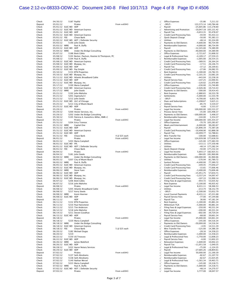# Case 2:12-cv-08333-ODW-JC Document 240-8 Filed 10/17/13 Page 4 of 8 Page ID #:4506

| Check            | 04/30/12             |      | 5187 PayPal                                         |               | $\sqrt{}$    | Office Expenses                      | $-35.86$                | 7,211.32               |
|------------------|----------------------|------|-----------------------------------------------------|---------------|--------------|--------------------------------------|-------------------------|------------------------|
| Deposit          | 05/01/12             |      | Pirates                                             | From xx6943   | $\sqrt{}$    | -SPLIT-                              | 133,573.14 140,784.46   |                        |
| Check            | 05/01/12 ELEC WD ADP |      |                                                     |               | $\sqrt{}$    | Payroll                              | $-25,605.86$ 115,178.60 |                        |
| Check            |                      |      |                                                     |               |              |                                      | $-10,047.18$ 105,131.42 |                        |
|                  |                      |      | 05/01/12 ELEC WD American Express                   |               | $\sqrt{2}$   | Advertising and Promotion            |                         |                        |
| Check            | 05/01/12 ELEC WD ADP |      |                                                     |               |              | Payroll Tax                          | $-9,653.35$             | 95,478.07              |
| Check            |                      |      | 05/01/12 ELEC WD American Express                   |               |              | Credit Card Processing Fees          | $-44.94$                | 95,433.13              |
| Check            | 05/01/12 FEE         |      | Chase Bank                                          |               | $\sqrt{}$    | Quick Deposit Charge                 | $-50.00$                | 95,383.13              |
|                  |                      |      |                                                     |               |              |                                      |                         |                        |
| Check            |                      |      | 05/02/12 ELEC WD ADT / Defender Security            |               | $\sqrt{}$    | <b>Utilities</b>                     | $-48.14$                | 95,334.99              |
| Check            | 05/03/12             |      | 5190 John Steele                                    |               | $\sqrt{2}$   | Payments to Old Owners               | $-4,600.00$             | 90,734.99              |
| Check            | 05/03/12 WIRE        |      | Paul A. Duffy                                       |               | $\sqrt{2}$   | Reimbursable Expenses                | $-4,000.00$             | 86,734.99              |
|                  |                      |      |                                                     |               |              |                                      |                         |                        |
| Check            | 05/03/12 ELEC WD ADP |      |                                                     |               | $\sqrt{}$    | Payroll                              | $-12,345.00$            | 74,389.99              |
| Check            | 05/04/12 WIRE        |      | Under the Bridge Consulting                         |               | $\sqrt{2}$   | Payments to Old Owners               | $-40,000.00$            | 34,389.99              |
| Check            | 05/07/12             |      | 5188 Brett Gibbs                                    |               | $\sqrt{2}$   | Office Expenses                      | $-2,721.67$             | 31,668.32              |
|                  |                      |      |                                                     |               |              |                                      |                         |                        |
| Check            | 05/08/12             |      | 5193 Becker, Paulson, Hoemer & Thompson, PC         |               |              | Legal & Professional Fees            | $-4,109.17$             | 27,559.15              |
| Check            | 05/08/12             |      | 5194 Paul A. Duffy                                  |               | $\sqrt{}$    | Reimbursable Expenses                | $-1,005.00$             | 26,554.15              |
| Check            |                      |      | 05/08/12 ELEC WD American Express                   |               | $\sqrt{2}$   | <b>Credit Card Processing Fees</b>   | -389.91                 | 26,164.24              |
|                  |                      |      | 05/08/12 ELEC WD Bluepay, Inc.                      |               |              |                                      |                         | 26,146.73              |
| Check            |                      |      |                                                     |               | $\sqrt{}$    | Credit Card Processing Fees          | $-17.51$                |                        |
| Check            | 05/09/12 ELEC WD     |      | ADP                                                 |               |              | Payroll Tax                          | $-37.12$                | 26,109.61              |
| Check            |                      |      | 05/09/12 ELEC WD Pay Simple                         |               | $\sqrt{}$    | Credit Card Processing Fees          | $-27.06$                | 26,082.55              |
| Check            | 05/10/12             |      | 5153 BTN Properties                                 |               |              | Rent Expense                         | $-1,300.00$             | 24,782.55              |
|                  |                      |      |                                                     |               | $\sqrt{}$    |                                      |                         |                        |
| Check            |                      |      | 05/10/12 ELEC WD Bluepay, Inc.                      |               | $\sqrt{}$    | Credit Card Processing Fees          | $-2,101.35$             | 22,681.20              |
| Check            |                      |      | 05/11/12 ELEC WD Atlantic Broadband Cable           |               |              | Utilities                            | $-443.04$               | 22,238.16              |
| Check            | 05/11/12 ELEC WD ADP |      |                                                     |               | $\sqrt{}$    | Payroll Service Fees                 | $-147.25$               | 22,090.91              |
|                  |                      |      |                                                     |               |              |                                      |                         |                        |
| Check            |                      |      | 05/11/12 ELEC WD Bluepay, Inc.                      |               | $\sqrt{2}$   | Credit Card Processing Fees          | $-120.02$               | 21,970.89              |
| Check            | 05/17/12             |      | 5199 Maria Campbell                                 |               | $\sqrt{}$    | Office Expenses                      | $-230.00$               | 21,740.89              |
| Check            |                      |      | 05/17/12 ELEC WD American Express                   |               | $\sqrt{}$    | Credit Card Processing Fees          | $-2,026.46$             | 19,714.43              |
|                  |                      |      |                                                     |               |              |                                      |                         |                        |
| Check            | 05/17/12 WIRE        |      | John Steele                                         |               |              | Payments to Old Owners               | $-300.00$               | 19,414.43              |
| Check            | 05/21/12             |      | 5192 John Mahshie                                   |               | $\sqrt{2}$   | Rent Expense                         | $-2,880.65$             | 16,533.78              |
| Check            | 05/21/12             |      | 5201 Ingenuity13                                    |               | $\sqrt{}$    | Settlements                          | $-5,000.00$             | 11,533.78              |
|                  |                      |      |                                                     |               |              |                                      |                         |                        |
| Check            | 05/21/12             |      | 5212 John Steele                                    |               | $\sqrt{}$    | -SPLIT-                              | $-4,700.00$             | 6,833.78               |
| Check            |                      |      | 05/21/12 ELEC WD ULC of Chicago                     |               | $\sqrt{}$    | Dues and Subscriptions               | $-1,208.67$             | 5,625.11               |
| Check            | 05/25/12             |      | 5213 City of Miami Beach                            |               | $\sqrt{}$    | Utilities                            | $-85.74$                | 5,539.37               |
| Check            | 05/25/12 ELEC WD ADP |      |                                                     |               |              | Payroll Service Fees                 | $-6.00$                 | 5,533.37               |
|                  |                      |      |                                                     |               | $\sqrt{}$    |                                      |                         |                        |
| Deposit          | 05/29/12             |      | Pirates                                             | From xx6943   |              | Legal Fee Income                     | 100,000.00 105,533.37   |                        |
| Check            | 05/29/12             |      | 5200 Hester Services, Inc.                          |               | $\sqrt{}$    | Process Server Fees                  |                         | $-35.00$ 105,498.37    |
| Check            | 05/29/12             |      | 5202 Under the Bridge Consulting                    |               | $\sqrt{}$    | Payments to Old Owners               | $-100,000.00$           | 5,498.37               |
|                  |                      |      |                                                     |               |              |                                      |                         |                        |
| Check            | 05/30/12             |      | 5195 Patricia A. Kaneshiro-Miller, RMR-C            |               |              | Reimbursable Expenses                | $-144.00$               | 5,354.37               |
| Deposit          | 05/31/12             |      | Pirates                                             | From xx6943   |              | Legal Fee Income                     | 100,000.00 105,354.37   |                        |
|                  |                      |      |                                                     |               |              |                                      |                         | $-70.70$ 105,283.67    |
| Check            | 05/31/12             |      | 5204 Erica Tranese                                  |               | $\sqrt{2}$   | Office Expenses                      |                         |                        |
| Check            | 05/31/12 WIRE        |      | Capital One                                         |               | $\sqrt{2}$   | Meals and Entertainment              | $-6,000.00$             | 99,283.67              |
| Check            | 05/31/12 ELEC WD ADP |      |                                                     |               | $\sqrt{}$    | Payroll                              | $-25,896.39$            | 73,387.28              |
| Check            |                      |      | 05/31/12 ELEC WD American Express                   |               | $\sqrt{}$    | <b>Credit Card Processing Fees</b>   | $-10,498.90$            | 62,888.38              |
|                  |                      |      |                                                     |               |              |                                      |                         |                        |
| Check            | 05/31/12 ELEC WD ADP |      |                                                     |               | $\sqrt{}$    | Payroll Tax                          | $-10,099.77$            | 52,788.61              |
| Check            | 05/31/12 FEE         |      | Chase Bank                                          | 4 @ \$25 each | $\sqrt{}$    | Wire Transfer Fee                    | $-100.00$               | 52,688.61              |
| Deposit          | 06/01/12             |      | Pirates                                             | From xx6943   | $\sqrt{2}$   | Legal Fee Income                     | 124,939.98 177,628.59   |                        |
|                  |                      |      |                                                     |               |              |                                      |                         |                        |
| Check            | 06/01/12             |      | 5203 Maria Campbell                                 |               | $\sqrt{}$    | Office Expenses                      |                         | $-145.00$ 177,483.59   |
| Check            | 06/01/12 ELEC WD FPL |      |                                                     |               | $\sqrt{ }$   | <b>Utilities</b>                     |                         | $-153.11$ 177,330.48   |
| Check            |                      |      | 06/01/12 ELEC WD ADT / Defender Security            |               | $\sqrt{}$    | Utilities                            |                         | -48.14 177,282.34      |
|                  |                      |      |                                                     |               |              |                                      |                         |                        |
| Check            | 06/01/12 FEE         |      | Chase Bank                                          |               |              | Quick Deposit Charge                 |                         | $-50.00$ 177,232.34    |
| Deposit          | 06/04/12             |      | Pirates                                             | From xx6943   |              | Legal Fee Income                     |                         | 5,693.17 182,925.51    |
| Check            | 06/04/12             |      | 5181 John Steele                                    |               | $\sqrt{}$    | Reimbursable Expenses                |                         | -964.85 181,960.66     |
|                  |                      |      |                                                     |               |              |                                      |                         |                        |
| Check            | 06/04/12 WIRE        |      | Under the Bridge Consulting                         |               | $\sqrt{ }$   | Payments to Old Owners               | $-100,000.00$           | 81,960.66              |
| Check            | 06/05/12             |      | 5207 City of Miami Beach                            |               | $\sqrt{}$    | <b>Utilities</b>                     | $-170.94$               | 81,789.72              |
| Check            | 06/05/12 WIRE        |      | Paul A. Duffy                                       |               |              | <b>Sunlust Pictures</b>              | $-4,400.00$             | 77,389.72              |
|                  |                      |      |                                                     |               |              |                                      |                         |                        |
| Check            |                      |      | 06/05/12 ELEC WD American Express                   |               | $\sqrt{}$    | Credit Card Processing Fees          | $-349.45$               | 77,040.27              |
| Check            |                      |      | 06/05/12 ELEC WD Bluepay, Inc.                      |               | $\sqrt{}$    | Credit Card Processing Fees          | $-33.81$                | 77,006.46              |
| Check            | 06/06/12 WIRE        |      | Steve Yuen                                          |               | $\sqrt{}$    | Reimbursable Expenses                | $-3,400.00$             | 73,606.46              |
|                  |                      |      |                                                     |               |              |                                      |                         |                        |
| Check            | 06/06/12 ELEC WD ADP |      |                                                     |               | $\sqrt{}$    | Payroll                              | $-15,951.75$            | 57,654.71              |
| Check            |                      |      | 06/06/12 ELEC WD Bluepay, Inc.                      |               |              | Credit Card Processing Fees          | $-3,557.24$             | 54,097.47              |
| Check            |                      |      | 06/06/12 ELEC WD Bluepay, Inc.                      |               | $\sqrt{2}$   | <b>Credit Card Processing Fees</b>   | $-107.33$               | 53,990.14              |
|                  |                      |      |                                                     |               |              |                                      |                         |                        |
| Check            | 06/07/12             |      | 5206 Brett Gibbs                                    |               |              | Filing Fees & Legal Expenses         | -954.72                 | 53,035.42              |
| Check            | 06/07/12             |      | 5216 John Mahshie                                   |               | $\sqrt{}$    | Rent Expense                         | $-3,100.00$             | 49,935.42              |
| Deposit          | 06/08/12             |      | Pirates                                             | From xx6943   |              | Legal Fee Income                     |                         | 8,431.11 58,366.53     |
| Check            | 06/08/12             |      | 5205 Atlantic Broadband Cable                       |               | $\sqrt{}$    | Utilities                            | $-213.74$               | 58,152.79              |
|                  |                      |      |                                                     |               |              |                                      |                         |                        |
| Check            | 06/08/12             |      | 5217 Kerry Steele                                   |               | $\sqrt{}$    | -SPLIT-                              | $-2,500.00$             | 55,652.79              |
| Check            | 06/08/12 WIRE        |      | Kevin Hoerner                                       |               | $\sqrt{}$    | <b>Local Counsel Payments</b>        | $-8,431.11$             | 47,221.68              |
| Check            | 06/08/12 ELEC WD ADP |      |                                                     |               |              | <b>Payroll Service Fees</b>          | $-77.00$                | 47,144.68              |
|                  |                      |      |                                                     |               | $\checkmark$ |                                      |                         |                        |
| Deposit          | 06/11/12             |      | <b>ADP</b>                                          |               | $\sqrt{}$    | Payroll Tax                          | 36.66                   | 47,181.34              |
| Check            | 06/11/12             |      | 5152 BTN Properties                                 |               | $\sqrt{}$    | Rent Expense                         | $-1,300.00$             | 45,881.34              |
|                  |                      |      | 5210 Paul Hansmeier                                 |               | $\sqrt{}$    | Millennium TGA                       | $-5,000.00$             | 40,881.34              |
|                  |                      |      |                                                     |               |              |                                      |                         |                        |
| Check            | 06/11/12             |      |                                                     |               |              |                                      |                         |                        |
| Check            | 06/11/12             |      | 5215 Tim Anderson                                   |               | $\sqrt{}$    | Filing Fees & Legal Expenses         | $-350.00$               | 40,531.34              |
| Check            | 06/12/12             |      | 5218 John Mahshie                                   |               | $\sqrt{}$    | <b>Rent Expense</b>                  | $-200.00$               | 40,331.34              |
|                  |                      |      |                                                     |               |              |                                      |                         |                        |
| Check            | 06/14/12             |      | 5211 Steven Goodhue                                 |               | $\sqrt{ }$   | Filing Fees & Legal Expenses         | $-602.00$               | 39,729.34              |
| Check            | 06/15/12 ELEC WD ADP |      |                                                     |               | $\sqrt{}$    | Payroll Service Fees                 | $-68.00$                | 39,661.34              |
| Deposit          | 06/18/12             |      | Pirates                                             | From xx6943   | $\sqrt{}$    | Legal Fee Income                     | 25,000.00               | 64,661.34              |
|                  |                      |      |                                                     |               |              |                                      |                         |                        |
| Check            | 06/18/12             |      | 5220 Maria Campbell                                 |               | $\sqrt{}$    | Office Expenses                      | $-145.00$               | 64,516.34              |
| Check            | 06/18/12 WIRE        |      | Under the Bridge Consulting                         |               | $\sqrt{}$    | Payments to Old Owners               | $-50,000.00$            | 14,516.34              |
| Check            |                      |      | 06/18/12 ELEC WD American Express                   |               | $\sqrt{}$    | Credit Card Processing Fees          | $-4.95$                 | 14,511.39              |
|                  |                      |      |                                                     |               |              |                                      |                         |                        |
| Check            | 06/18/12 FEE         |      | Chase Bank                                          | 5 @ \$25 each | $\sqrt{}$    | Wire Transfer Fee                    | $-125.00$               | 14,386.39              |
| Check            | 06/20/12             |      | 5182 Michael Dugas                                  |               | $\sqrt{}$    | Office Expenses                      | $-28.16$                | 14,358.23              |
| Check            |                      | 5219 |                                                     |               | $\sqrt{}$    |                                      |                         |                        |
|                  | 06/20/12             |      |                                                     |               |              | Reimbursable Expenses                | $-1,000.00$             | 13,358.23              |
| Check            | 06/22/12             |      | 5150 US Treasury                                    |               |              | Legal & Professional Fees            | $-1,750.00$             | 11,608.23              |
| Check            | 06/22/12 ELEC WD ADP |      |                                                     |               | $\sqrt{}$    | Payroll Service Fees                 | $-6.00$                 | 11,602.23              |
|                  |                      |      |                                                     |               |              |                                      |                         |                        |
| Check            | 06/26/12 WIRE        |      | James Waleford                                      |               | $\sqrt{}$    | <b>Relocation Expenses</b>           | $-1,600.00$             | 10,002.23              |
| Check            | 06/26/12 ELEC WD ADP |      |                                                     |               | $\sqrt{}$    | Payroll Tax                          | $-11,051.58$            | $-1,049.35$            |
| Check            | 06/28/12             |      | 5222 Aaron Notary Services                          |               | $\sqrt{}$    | Legal & Professional Fees            | $-75.00$                | $-1,124.35$            |
| Check            | 06/29/12 ELEC WD ADP |      |                                                     |               | $\sqrt{}$    | Payroll                              | $-27,685.26 -28,809.61$ |                        |
|                  |                      |      |                                                     |               |              |                                      |                         |                        |
| Deposit          | 07/02/12             |      | Pirates                                             | From xx6943   | $\sqrt{}$    | Legal Fee Income                     | 50,000.00               | 21,190.39              |
| Check            | 07/02/12             |      | 5137 Seth Abrahams                                  |               | $\sqrt{}$    | Reimbursable Expenses                | $-82.67$                | 21,107.72              |
| Check            | 07/02/12             |      | 5138 Seth Abrahams                                  |               | $\sqrt{}$    | Reimbursable Expenses                | $-82.67$                | 21,025.05              |
|                  |                      |      |                                                     |               |              |                                      |                         |                        |
| Check            | 07/02/12             |      | 5149 Nathan Wersel                                  |               |              | Legal & Professional Fees            | $-1,561.34$             | 19,463.71              |
| Check            | 07/02/12             |      | 5223 Maria Campbell                                 |               | $\sqrt{2}$   | Office Expenses                      | $-145.00$               | 19,318.71              |
| Check            | 07/02/12 WIRE        |      | Paul A. Duffy                                       |               | $\sqrt{}$    | Payments to Old Owners               | $-5,000.00$             | 14,318.71              |
|                  |                      |      |                                                     |               |              |                                      |                         |                        |
| Check<br>Deposit | 07/03/12             |      | 07/02/12 ELEC WD ADT / Defender Security<br>Pirates | From xx6943   | $\sqrt{}$    | <b>Utilities</b><br>Legal Fee Income | -48.14<br>3,777.00      | 14,270.57<br>18,047.57 |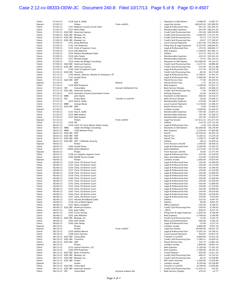#### Case 2:12-cv-08333-ODW-JC Document 240-8 Filed 10/17/13 Page 5 of 8 Page ID #:4507

| Check            | 07/03/12                 |                             | 5228 Paul A. Duffy                                             |                               | $\sqrt{2}$                | Payments to Old Owners                                 | $-4,080.00$            | 13,967.57              |
|------------------|--------------------------|-----------------------------|----------------------------------------------------------------|-------------------------------|---------------------------|--------------------------------------------------------|------------------------|------------------------|
| Deposit          | 07/05/12                 |                             | Pirates                                                        | From xx6943                   | $\sqrt{}$                 | Legal Fee Income                                       | 168,029.34 181,996.91  |                        |
| Check            | 07/05/12                 |                             | 5147 Madison County Circuit Clerk                              |                               | $\sqrt{}$                 | Legal & Professional Fees                              |                        | -431.50 181,565.41     |
| Check            | 07/05/12                 |                             | 5225 Brett Gibbs                                               |                               | $\sqrt{}$                 | Reimbursable Expenses                                  |                        | -952.99 180,612.42     |
| Check            |                          |                             | 07/05/12 ELEC WD American Express                              |                               | $\sqrt{}$                 | Credit Card Processing Fees                            |                        | -391.46 180,220.96     |
| Check            |                          |                             | 07/06/12 ELEC WD Bluepay, Inc.                                 |                               | $\sqrt{}$                 | Credit Card Processing Fees                            |                        | $-3,002.99$ 177,217.97 |
| Check            |                          |                             | 07/06/12 ELEC WD Bluepay, Inc.                                 |                               | $\sqrt{}$                 | Credit Card Processing Fees                            |                        | -97.23 177,120.74      |
| Check            |                          |                             | 07/06/12 ELEC WD Bluepay, Inc.                                 |                               | $\sqrt{}$                 | Credit Card Processing Fees                            |                        | $-20.07$ 177,100.67    |
| Check            | 07/09/12                 |                             | 5141 Doug McIntyre                                             |                               | $\sqrt{}$                 | <b>Local Counsel Payments</b>                          |                        | $-1,831.00$ 175,269.67 |
| Check            | 07/09/12                 |                             | 5142 Tim Anderson                                              |                               | $\sqrt{}$                 | Filing Fees & Legal Expenses                           |                        | $-6,325.00$ 168,944.67 |
| Check            | 07/09/12                 |                             | 5145 Clerk of Superior Court                                   |                               | $\sqrt{}$                 | Legal & Professional Fees                              |                        | $-259.50$ 168,685.17   |
| Check            | 07/09/12                 |                             | 5214 John Mahshie                                              |                               | $\sqrt{}$                 | <b>Rent Expense</b>                                    |                        | $-3,100.00$ 165,585.17 |
| Check            | 07/09/12                 |                             | 5224 Atlantic Broadband Cable                                  |                               | $\sqrt{}$                 | Utilities                                              |                        | $-213.74$ 165,371.43   |
| Check            | 07/09/12                 |                             | 5226 John Steele                                               |                               | $\sqrt{}$                 | Reimbursable Expenses                                  |                        | $-210.19$ 165,161.24   |
| Check            | 07/09/12                 |                             | 5227 Michael Dugas                                             |                               | $\sqrt{}$                 | Reimbursable Expenses                                  |                        | $-37.01$ 165,124.23    |
| Check            | 07/09/12                 |                             | 5230 Under the Bridge Consulting                               |                               | $\sqrt{}$                 | Payments to Old Owners                                 | $-125,000.00$          | 40,124.23              |
| Check            |                          |                             | 07/09/12 ELEC WD American Express                              |                               | $\sqrt{}$                 | Credit Card Processing Fees                            | $-3,237.41$            | 36,886.82              |
| Check            |                          |                             | 07/09/12 ELEC WD American Express                              |                               | $\sqrt{}$                 | <b>Credit Card Processing Fees</b>                     | $-374.94$              | 36,511.88              |
| Check            | 07/10/12                 |                             | 5146 Clerk of Superior Court                                   |                               | $\sqrt{}$                 | Legal & Professional Fees                              | $-257.50$              | 36,254.38              |
| Check            |                          | 07/10/12 ELEC WD Transfirst |                                                                |                               | $\sqrt{}$                 | Credit Card Processing Fees                            | $-80.30$               | 36,174.08              |
| Check            | 07/11/12                 |                             | 5140 Becker, Paulson, Hoemer & Thompson, PC                    |                               | $\sqrt{}$                 | Legal & Professional Fees                              | $-4,766.67$            | 31,407.41              |
| Check            | 07/12/12                 |                             | 5143 Joseph Perea                                              |                               | $\sqrt{}$                 | Legal & Professional Fees                              | $-5,000.00$            | 26,407.41              |
| Check<br>Deposit | 07/16/12                 | 07/13/12 ELEC WD ADP        | <b>ADP</b>                                                     | Refund                        | $\sqrt{}$                 | Payroll Service Fees<br>Payroll Service Fees           | $-77.00$<br>2.72       | 26,330.41<br>26,333.13 |
|                  |                          |                             | 5139 BTN Properties                                            |                               | $\sqrt{}$                 | <b>Rent Expense</b>                                    | $-1,300.00$            | 25,033.13              |
| Check<br>Check   | 07/16/12<br>07/16/12 FEE |                             | Chase Bank                                                     | <b>Account Settlement Fee</b> | $\sqrt{}$<br>$\checkmark$ | <b>Bank Service Charges</b>                            | $-66.91$               | 24,966.22              |
| Check            |                          |                             | 07/17/12 ELEC WD American Express                              |                               | $\sqrt{}$                 | Credit Card Processing Fees                            | $-7.95$                | 24,958.27              |
| Check            | 07/19/12                 |                             | 5232 Hennepin County Government Center                         |                               | $\sqrt{}$                 | Parking Expenses                                       | $-42.00$               | 24,916.27              |
| Check            | 07/25/12 WIRE            |                             | John Steele                                                    |                               | $\sqrt{}$                 | Payments to Old Owners                                 | $-400.00$              | 24,516.27              |
| Check            | 07/26/12 FEE             |                             | Chase Bank                                                     | Transfer to xx6240            | $\sqrt{}$                 | <b>Bank Service Charges</b>                            | $-50.00$               | 24,466.27              |
| Check            | 07/27/12                 |                             | 5253 Paul A. Duffy                                             |                               | $\sqrt{}$                 | Reimbursable Expenses                                  | $-270.00$              | 24,196.27              |
| Check            | 07/27/12 WIRE            |                             | George Banas                                                   |                               | $\sqrt{}$                 | <b>Local Counsel Payments</b>                          | $-3,150.00$            | 21,046.27              |
| Check            |                          | 07/27/12 ELEC WD ADP        |                                                                |                               | $\sqrt{}$                 | Payroll Service Fees                                   | $-6.00$                | 21,040.27              |
| Deposit          | 07/30/12                 |                             | Pirates                                                        |                               | $\sqrt{}$                 | Lockbox receipt                                        | 3,400.00               | 24,440.27              |
| Check            | 07/30/12                 |                             | 5231 Paul A. Duffy                                             |                               | $\sqrt{}$                 | Reimbursable Expenses                                  | $-567.00$              | 23,873.27              |
| Check            | 07/30/12                 |                             | 5254 Matt Jenkins                                              |                               | $\sqrt{}$                 | Reimbursable Expenses                                  | $-107.00$              | 23,766.27              |
| Check            | 07/30/12                 |                             | 5255 Matt Jenkins                                              |                               | $\sqrt{}$                 | Reimbursable Expenses                                  | $-107.00$              | 23,659.27              |
| Deposit          | 07/31/12                 |                             | Pirates                                                        | From xx6943                   | $\sqrt{}$                 | Legal Fee Income                                       | 117,612.32 141,271.59  |                        |
| Check            | 07/31/12                 | 5259 FPL                    |                                                                |                               | $\sqrt{}$                 | Utilities                                              |                        | $-119.19$ 141,152.40   |
| Check            | 08/01/12                 |                             | 5256 Clerk of Courts Miami-Dade County                         |                               | $\sqrt{}$                 | Legal & Professional Fees                              |                        | $-2.50$ 141,149.90     |
| Check            | 08/01/12 WIRE            |                             | Under the Bridge Consulting                                    |                               | $\sqrt{}$                 | Payments to Old Owners                                 | $-81,000.00$           | 60,149.90              |
| Check            | 08/01/12 WIRE            |                             | 3200 Network Place                                             |                               | $\sqrt{}$                 | <b>Rent Expense</b>                                    | $-2,250.00$            | 57,899.90              |
| Check            |                          | 08/01/12 ELEC WD ADP        |                                                                |                               | $\sqrt{}$                 | Payroll                                                | $-31,436.20$           | 26,463.70              |
| Check            |                          | 08/01/12 ELEC WD ADP        |                                                                |                               | $\sqrt{}$                 | Payroll Tax                                            | $-9,185.52$            | 17,278.18              |
| Check            |                          | 08/01/12 ELEC WD ADP        |                                                                |                               | $\sqrt{}$                 | Payroll Tax                                            | $-1,290.72$            | 15,987.46              |
| Check            |                          |                             | 08/01/12 ELEC WD ADT / Defender Security                       |                               | $\sqrt{}$                 | Utilities                                              | $-48.14$               | 15,939.32              |
| Deposit          | 08/02/12                 |                             | Pirates                                                        |                               | $\sqrt{}$                 | From Account xx6240                                    | 2,500.00               | 18,439.32              |
| Check            | 08/02/12                 |                             | 5264 Joseph Perea                                              |                               | $\sqrt{}$                 | Legal & Professional Fees                              | $-2,500.00$            | 15,939.32              |
| Check            | 08/02/12                 |                             | 10000 James Waleford                                           |                               | $\sqrt{}$                 | James Waleford                                         | $-2,215.83$            | 13,723.49              |
| Deposit          | 08/03/12                 |                             | Pirates                                                        |                               | $\sqrt{}$                 | From Account xx6240                                    | 50.00                  | 13,773.49              |
| Check            | 08/03/12                 |                             | 5248 Los Angeles Superior Court                                |                               | $\sqrt{}$                 | Legal & Professional Fees                              | $-435.00$              | 13,338.49              |
| Check            | 08/03/12                 |                             | 5260 PACER Service Center                                      |                               | $\sqrt{}$                 | Dues and Subscriptions                                 | $-519.40$              | 12,819.09              |
| Deposit          | 08/06/12                 |                             | Pirates                                                        |                               | $\sqrt{}$                 | Lockbox receipt                                        | 2,000.00               | 14,819.09              |
| Check            | 08/06/12                 |                             | 5234 Clerk, US District Court                                  |                               | $\sqrt{}$                 | Legal & Professional Fees                              | $-350.00$              | 14,469.09              |
| Check            | 08/06/12                 |                             | 5235 Clerk, US District Court                                  |                               | $\sqrt{}$                 | Legal & Professional Fees                              | $-350.00$              | 14,119.09              |
| Check            | 08/06/12                 |                             | 5236 Clerk, US District Court                                  |                               | $\sqrt{}$                 | Legal & Professional Fees                              | $-350.00$              | 13,769.09              |
| Check            | 08/06/12                 |                             | 5237 Clerk, US District Court                                  |                               | $\sqrt{}$                 | Legal & Professional Fees                              | $-350.00$              | 13,419.09              |
| Check            | 08/06/12                 |                             | 5238 Clerk, US District Court                                  |                               | $\sqrt{}$                 | Legal & Professional Fees                              | $-350.00$              | 13,069.09              |
| Check            | 08/06/12                 |                             | 5239 Clerk, US District Court                                  |                               | $\sqrt{}$                 | Legal & Professional Fees                              | $-350.00$              | 12,719.09              |
| Check            | 08/06/12                 |                             | 5240 Clerk, US District Court                                  |                               | $\sqrt{2}$                | Legal & Professional Fees                              | $-350.00$              | 12,369.09<br>12,019.09 |
| Check            | 08/06/12<br>08/06/12     |                             | 5241 Clerk, US District Court                                  |                               |                           | Legal & Professional Fees<br>Legal & Professional Fees | $-350.00$<br>$-350.00$ | 11,669.09              |
| Check            |                          |                             | 5242 Clerk, US District Court<br>5243 Clerk, US District Court |                               |                           | Legal & Professional Fees                              |                        |                        |
| Check<br>Check   | 08/06/12<br>08/06/12     |                             | 5244 Clerk, US District Court                                  |                               |                           | Legal & Professional Fees                              | $-350.00$<br>$-350.00$ | 11,319.09<br>10,969.09 |
|                  | 08/06/12                 |                             | 5245 Clerk, US District Court                                  |                               | $\sqrt{}$                 | Legal & Professional Fees                              | $-350.00$              | 10,619.09              |
| Check<br>Check   | 08/06/12                 |                             | 5246 Clerk, US District Court                                  |                               |                           | Legal & Professional Fees                              | $-350.00$              | 10,269.09              |
| Check            | 08/06/12                 |                             | 5247 Clerk, US District Court                                  |                               | $\sqrt{}$                 | Legal & Professional Fees                              | $-350.00$              | 9,919.09               |
| Check            | 08/06/12                 |                             | 5257 Atlantic Broadband Cable                                  |                               | $\sqrt{}$                 | Utilities                                              | $-222.02$              | 9,697.07               |
| Check            | 08/06/12                 |                             | 5258 City of Miami Beach                                       |                               | $\sqrt{}$                 | Utilities                                              | $-96.00$               | 9,601.07               |
| Check            | 08/06/12                 |                             | 5267 Maria Campbell                                            |                               |                           | Office Expenses                                        | $-205.00$              | 9,396.07               |
| Check            |                          |                             | 08/06/12 ELEC WD American Express                              |                               | $\sqrt{}$                 | <b>Credit Card Processing Fees</b>                     | $-200.05$              | 9,196.02               |
| Check            | 08/07/12                 |                             | 5261 Brett Gibbs                                               |                               | $\sqrt{}$                 | -SPLIT-                                                | $-658.47$              | 8,537.55               |
| Check            | 08/07/12                 |                             | 5265 Curtis Hussey                                             |                               | $\sqrt{}$                 | Filing Fees & Legal Expenses                           | $-1,830.59$            | 6,706.96               |
| Check            | 08/08/12                 |                             | 5262 John Mahshie                                              |                               | $\sqrt{}$                 | Rent Expense                                           | $-3,500.00$            | 3,206.96               |
| Check            |                          |                             | 08/08/12 ELEC WD Bluepay, Inc.                                 |                               | $\checkmark$              | Credit Card Processing Fees                            | $-14.26$               | 3,192.70               |
| Check            | 08/09/12                 |                             | 5263 John Steele                                               |                               | $\sqrt{}$                 | Meals and Entertainment                                | $-900.00$              | 2,292.70               |
| Check            | 08/09/12                 |                             | 5266 John Heida                                                |                               | $\sqrt{}$                 | Legal & Professional Fees                              | $-35.00$               | 2,257.70               |
| Deposit          | 08/10/12                 |                             | Pirates                                                        |                               | $\sqrt{}$                 | Lockbox receipt                                        | 6,800.00               | 9,057.70               |
| Deposit          | 08/10/12                 |                             | Pirates                                                        | From xx6943                   | $\sqrt{}$                 | Legal Fee Income                                       | 20,000.00              | 29,057.70              |
| Check            | 08/10/12                 |                             | 5250 Nathan Wersel                                             |                               | $\sqrt{}$                 | Legal & Professional Fees                              | $-4,267.29$            | 24,790.41              |
| Check            | 08/10/12                 |                             | 5268 Kevin Hoerner                                             |                               | $\sqrt{2}$                | <b>Local Counsel Payments</b>                          | $-916.65$              | 23,873.76              |
| Check            |                          |                             | 08/10/12 ELEC WD Chase Bank                                    |                               | $\sqrt{}$                 | Transfer to xx6240                                     | $-8,800.00$            | 15,073.76              |
| Check            |                          | 08/10/12 ELEC WD Transfirst |                                                                |                               | $\sqrt{}$                 | <b>Credit Card Processing Fees</b>                     | $-1,069.51$            | 14,004.25              |
| Check            |                          | 08/10/12 ELEC WD            | ADP                                                            |                               | $\checkmark$              | Payroll Service Fees                                   | $-142.75$              | 13,861.50              |
| Deposit          | 08/13/12                 |                             | Pirates                                                        |                               | $\sqrt{}$                 | Lockbox receipt                                        | 5,800.00               | 19,661.50              |
| Check            | 08/13/12                 |                             | 5233 Interim Partners, LLC                                     |                               | $\sqrt{}$                 | <b>Rent Expense</b>                                    | $-2,100.00$            | 17,561.50              |
| Check            | 08/13/12                 |                             | 5269 BTN Properties                                            |                               | $\sqrt{}$                 | <b>Rent Expense</b>                                    | $-1,300.00$            | 16,261.50              |
| Check            |                          |                             | 08/13/12 ELEC WD Bank of America                               |                               | $\sqrt{}$                 | <b>Travel Expense</b>                                  | $-650.00$              | 15,611.50              |
| Check            |                          |                             | 08/13/12 ELEC WD Bluepay, Inc.                                 |                               | $\sqrt{}$                 | <b>Credit Card Processing Fees</b>                     | $-469.47$              | 15,142.03              |
| Check            |                          |                             | 08/13/12 ELEC WD Bluepay, Inc.                                 |                               | $\sqrt{}$                 | Credit Card Processing Fees                            | $-83.23$               | 15,058.80              |
| Check            |                          | 08/13/12 ELEC WD Pirates    |                                                                |                               |                           | NSF check returned                                     | $-3,400.00$            | 11,658.80              |
| Deposit          | 08/14/12                 |                             | Pirates                                                        |                               | $\sqrt{}$                 | Lockbox receipt                                        | 8,700.00               | 20,358.80              |
| Check            |                          |                             | 08/14/12 ELEC WD Chase Bank                                    |                               | $\sqrt{}$                 | Transfer to xx6240                                     | $-8,700.00$            | 11,658.80              |
| Check            |                          |                             | 08/15/12 ELEC WD American Express                              |                               | $\checkmark$              | Credit Card Processing Fees                            | $-11,416.15$           | 242.65                 |
| Check            | 08/15/12 FEE             |                             | Chase Bank                                                     | Account analysis fee          |                           | <b>Bank Service Charges</b>                            | $-255.42$              | $-12.77$               |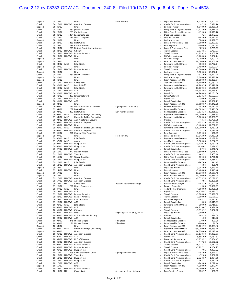# Case 2:12-cv-08333-ODW-JC Document 240-8 Filed 10/17/13 Page 6 of 8 Page ID #:4508

| Deposit | 08/16/12                    | Pirates                                  | From xx6943                | $\sqrt{}$  | Legal Fee Income             | 6,420.50                | 6,407.73               |
|---------|-----------------------------|------------------------------------------|----------------------------|------------|------------------------------|-------------------------|------------------------|
| Check   |                             | 08/16/12 ELEC WD American Express        |                            | $\sqrt{}$  | Credit Card Processing Fees  | $-7.95$                 | 6,399.78               |
| Deposit | 08/20/12                    | Pirates                                  |                            | $\sqrt{}$  | Lockbox receipt              | 6,640.00                | 13,039.78              |
| Check   | 08/20/12                    |                                          |                            |            |                              |                         | 11,914.78              |
|         |                             | 5282 Jacques Nazaire                     |                            | $\sqrt{}$  | Filing Fees & Legal Expenses | $-1,125.00$             |                        |
| Check   | 08/20/12                    | 5283 Curtis Hussey                       |                            | $\sqrt{}$  | Filing Fees & Legal Expenses | $-435.00$               | 11,479.78              |
| Check   | 08/20/12                    | 5284 Sacramento Bee                      |                            |            | Dues and Subscriptions       | $-7.25$                 | 11,472.53              |
| Check   | 08/20/12                    | 5285 Maria Campbell                      |                            | $\sqrt{ }$ | Office Expenses              | $-145.00$               | 11,327.53              |
| Deposit | 08/21/12                    | Pirates                                  |                            | $\sqrt{}$  | Lockbox receipt              | 500.00                  | 11,827.53              |
| Check   | 08/22/12                    | 5280 Brett Gibbs                         |                            | $\sqrt{}$  | Legal & Professional Fees    | $-1,000.00$             | 10,827.53              |
|         |                             |                                          |                            |            |                              |                         |                        |
| Check   | 08/22/12                    | 5286 Ricardo Pontillo                    |                            |            | Rent Expense                 | $-700.00$               | 10,127.53              |
| Check   | 08/23/12                    | 5249 District Court Administration       |                            |            | Legal & Professional Fees    | $-422.00$               | 9,705.53               |
| Check   | 08/23/12 ELEC WD Citibank   |                                          |                            |            | <b>Travel Expense</b>        | $-3,973.56$             | 5,731.97               |
| Check   |                             | 08/23/12 ELEC WD Bank of America         |                            | $\sqrt{}$  | <b>Travel Expense</b>        | $-1,729.23$             | 4,002.74               |
| Check   | 08/23/12 ELEC WD Pirates    |                                          |                            |            | NSF check returned           | $-1,200.00$             | 2,802.74               |
|         |                             |                                          |                            |            |                              |                         |                        |
| Deposit | 08/24/12                    | Pirates                                  |                            |            | Lockbox receipt              | 4,200.00                | 7,002.74               |
| Deposit | 08/24/12                    | Pirates                                  |                            | $\sqrt{ }$ | From Account xx6240          | 50,000.00               | 57,002.74              |
| Check   | 08/24/12 WIRE               | John Steele                              |                            | $\sqrt{}$  | Payments to Old Owners       | $-300.00$               | 56,702.74              |
| Deposit | 08/27/12                    | Pirates                                  |                            | $\sqrt{}$  | Lockbox receipt              | 3,400.00                | 60,102.74              |
| Check   |                             | 08/28/12 ELEC WD Bank of America         |                            | $\sqrt{}$  | <b>Travel Expense</b>        | $-5,000.00$             | 55,102.74              |
|         |                             | Pirates                                  |                            |            | Lockbox receipt              | 1,800.00                | 56,902.74              |
| Deposit | 08/29/12                    |                                          |                            |            |                              |                         |                        |
| Check   | 08/29/12                    | 5281 Steven Goodhue                      |                            | $\sqrt{ }$ | Filing Fees & Legal Expenses | $-675.00$               | 56,227.74              |
| Deposit | 08/30/12                    | Pirates                                  |                            |            | Lockbox receipt              | 3,600.00                | 59,827.74              |
| Deposit | 08/30/12                    | Pirates                                  |                            | $\sqrt{2}$ | From Account xx6240          |                         | 50,000.00 109,827.74   |
| Check   |                             | 08/30/12 ELEC WD Chase Bank              |                            | $\sqrt{}$  | Transfer to xx6240           | $-20,140.00$            | 89,687.74              |
| Check   | 08/30/12 WIRE               | Paul A. Duffy                            |                            |            | Payments to Old Owners       | $-8,769.56$             | 80,918.18              |
|         |                             |                                          |                            |            |                              |                         |                        |
| Check   | 08/30/12 WIRE               | John Steele                              |                            |            | Payments to Old Owners       | $-13,779.33$            | 67,138.85              |
| Check   | 08/30/12 ELEC WD ADP        |                                          |                            | $\sqrt{2}$ | Payroll                      | $-20,658.98$            | 46,479.87              |
| Check   | 08/30/12 ELEC WD ADP        |                                          |                            | $\sqrt{}$  | Payroll Tax                  | $-4,248.83$             | 42,231.04              |
| Check   | 08/31/12                    | 5293 James Waleford                      |                            | $\sqrt{}$  | James Waleford               | $-2,533.33$             | 39,697.71              |
| Check   | 08/31/12 ELEC WD ADP        |                                          |                            |            | Payroll Tax                  | $-39.00$                | 39,658.71              |
|         |                             |                                          |                            |            |                              |                         |                        |
| Check   | 08/31/12 ELEC WD ADP        |                                          |                            |            | <b>Payroll Service Fees</b>  | $-6.00$                 | 39,652.71              |
| Deposit | 09/04/12                    | Pirates                                  |                            | $\sqrt{}$  | From Account xx6240          |                         | 97,589.57 137,242.28   |
| Check   | 09/04/12                    | 5251 Northshore Process Servers          | Lightspeed v. Tom Berry    | $\sqrt{}$  | Process Server Fees          |                         | $-85.00$ 137,157.28    |
| Check   | 09/04/12                    | 5287 Brett Gibbs                         |                            | $\sqrt{}$  | Reimbursable Expenses        | $-14,685.42$ 122,471.86 |                        |
| Check   | 09/04/12                    | 5292 Brett Gibbs                         | Karl reimbursement         | $\sqrt{2}$ | Reimbursable Expenses        |                         | $-1,633.33$ 120,838.53 |
|         |                             |                                          |                            | $\sqrt{2}$ |                              |                         |                        |
| Check   | 09/04/12 WIRE               | Under the Bridge Consulting              |                            |            | Payments to Old Owners       | $-10,000.00$ 110,838.53 |                        |
| Check   | 09/04/12 WIRE               | Under the Bridge Consulting              |                            | $\sqrt{}$  | Payments to Old Owners       |                         | $-5,000.00$ 105,838.53 |
| Check   |                             | 09/04/12 ELEC WD ADT / Defender Security |                            | $\sqrt{}$  | Utilities                    |                         | $-48.14$ 105,790.39    |
| Check   |                             | 09/05/12 ELEC WD American Express        |                            | $\sqrt{2}$ | Credit Card Processing Fees  |                         | -653.10 105,137.29     |
| Check   | 09/05/12 ELEC WD Pirates    |                                          |                            | $\sqrt{}$  | NSF check returned           |                         | $-3,400.00$ 101,737.29 |
| Check   | 09/06/12 WIRE               | Under the Bridge Consulting              |                            | $\sqrt{2}$ | Payments to Old Owners       | $-100,000.00$           | 1,737.29               |
|         |                             |                                          |                            |            |                              |                         |                        |
| Check   |                             | 09/06/12 ELEC WD American Express        |                            |            | Credit Card Processing Fees  | $-1.30$                 | 1,735.99               |
| Check   | 09/06/12                    | 5291 Camino Alto Properties              |                            |            | Rent Expense                 | $-1,095.00$             | 640.99                 |
| Deposit | 09/07/12                    | Pirates                                  | From xx6943                | $\sqrt{2}$ | Legal Fee Income             | 17,342.00               | 17,982.99              |
| Check   | 09/07/12 WIRE               | John Steele                              |                            | $\sqrt{}$  | Payments to Old Owners       | $-4,800.00$             | 13,182.99              |
| Check   | 09/07/12 WIRE               | Amata                                    |                            |            | Ask My Accountant            | $-3,900.00$             | 9,282.99               |
| Check   |                             |                                          |                            |            |                              | $-3,130.20$             | 6,152.79               |
|         |                             | 09/07/12 ELEC WD Bluepay, Inc.           |                            |            | Credit Card Processing Fees  |                         |                        |
| Check   |                             | 09/07/12 ELEC WD Bluepay, Inc.           |                            | $\sqrt{}$  | Credit Card Processing Fees  | $-116.62$               | 6,036.17               |
| Check   | 09/07/12 ELEC WD ADP        |                                          |                            | $\sqrt{}$  | Payroll Service Fees         | $-87.75$                | 5,948.42               |
| Check   | 09/10/12                    | 5272 Nathan Wersel                       |                            | $\sqrt{}$  | Legal & Professional Fees    | $-3,500.00$             | 2,448.42               |
| Check   | 09/10/12 ELEC WD Transfirst |                                          |                            | $\sqrt{}$  | Credit Card Processing Fees  | $-45.32$                | 2,403.10               |
| Check   | 09/11/12                    | 5294 Steven Goodhue                      |                            |            | Filing Fees & Legal Expenses | $-675.00$               | 1,728.10               |
|         |                             |                                          |                            |            |                              |                         |                        |
| Check   |                             | 09/11/12 ELEC WD Bluepay, Inc.           |                            | $\sqrt{}$  | Credit Card Processing Fees  | $-39.68$                | 1,688.42               |
| Check   | 09/12/12 WIRE               | John Steele                              |                            |            | Reimbursable Expenses        | $-747.00$               | 941.42                 |
| Check   |                             | 09/13/12 ELEC WD American Express        |                            | $\sqrt{}$  | Credit Card Processing Fees  | $-44.94$                | 896.48                 |
| Deposit | 09/14/12                    | Pirates                                  |                            | $\sqrt{}$  | Legal Fee Income             | 3,947.00                | 4,843.48               |
| Check   | 09/14/12 ELEC WD Pirates    |                                          |                            | $\sqrt{}$  | Deposit research             | $-3,400.00$             | 1,443.48               |
| Deposit | 09/17/12                    | Pirates                                  |                            |            | From Account xx6240          | 13,210.00               | 14,653.48              |
|         |                             |                                          |                            |            |                              |                         |                        |
| Deposit | 09/17/12                    | Pirates                                  |                            |            | From Account xx6240          | 25,000.00               | 39,653.48              |
| Check   |                             | 09/17/12 ELEC WD American Express        |                            | $\sqrt{}$  | Credit Card Processing Fees  | $-9,355.35$             | 30,298.13              |
| Check   |                             | 09/17/12 ELEC WD American Express        |                            | $\sqrt{ }$ | Credit Card Processing Fees  | $-7.95$                 | 30,290.18              |
| Check   | 09/17/12 FEE                | Chase Bank                               | Account settlement charge  | $\sqrt{}$  | <b>Bank Service Charges</b>  | $-288.19$               | 30,001.99              |
| Check   | 09/26/12                    | 5290 Hester Services, Inc.               |                            |            |                              | $-5.00$                 | 29,996.99              |
|         |                             |                                          |                            |            | Process Server Fees          |                         |                        |
| Check   | 09/27/12 WIRE               | Pirates                                  |                            | $\sqrt{}$  | To FifthThird Operating      | -4,000.00               | 25,996.99              |
| Check   | 09/28/12 ELEC WD ADP        |                                          |                            | $\sqrt{}$  | Payroll Tax                  | -4,476.97               | 21,520.02              |
| Check   |                             | 09/28/12 ELEC WD Bank of America         |                            | $\sqrt{}$  | <b>Travel Expense</b>        | $-1,000.00$             | 20,520.02              |
| Check   |                             | 09/28/12 ELEC WD Bank of America         |                            |            | <b>Travel Expense</b>        | $-1,000.00$             | 19,520.02              |
| Check   |                             | 09/28/12 ELEC WD CNA Insurance           |                            |            | Insurance Expense            | $-498.21$               | 19,021.81              |
| Check   | 09/28/12 ELEC WD ADP        |                                          |                            | $\sqrt{ }$ | <b>Payroll Service Fees</b>  | $-6.00$                 | 19,015.81              |
|         |                             |                                          |                            |            |                              |                         |                        |
| Check   | 10/01/12 WIRE               | John Steele                              |                            |            | Payments to Old Owners       | $-300.00$               | 18,715.81              |
| Check   | 10/01/12 ELEC WD ADP        |                                          |                            |            | Payroll                      | $-14,219.67$            | 4,496.14               |
| Check   | 10/01/12 ELEC WD Citibank   |                                          |                            |            | <b>Travel Expense</b>        | $-1,993.92$             | 2,502.22               |
| Check   | 10/01/12 ELEC WD Pirates    |                                          | Deposit proc 2x on 8/10/12 | $\sqrt{}$  | Legal Fee Income             | $-2,000.00$             | 502.22                 |
|         |                             |                                          |                            |            | <b>Utilities</b>             |                         |                        |
| Check   |                             | 10/02/12 ELEC WD ADT / Defender Security |                            | $\sqrt{}$  |                              | $-48.14$                | 454.08                 |
| Check   | 10/02/12 ELEC WD ADP        |                                          |                            |            | <b>Payroll Service Fees</b>  | $-41.00$                | 413.08                 |
| Check   | 10/03/12                    | 5275 Michael Dugas                       | Filing fees                |            | Reimbursable Expenses        | $-210.00$               | 203.08                 |
| Check   | 10/03/12                    | 5296 Michael Dugas                       | Filing fees                | $\sqrt{}$  | Reimbursable Expenses        | $-104.40$               | 98.68                  |
| Deposit | 10/04/12                    | Pirates                                  |                            | $\sqrt{}$  | From Account xx6240          | 93,764.72               | 93,863.40              |
| Check   | 10/04/12 WIRE               | Under the Bridge Consulting              |                            |            | Payments to Old Owners       | $-50,000.00$            | 43,863.40              |
|         |                             |                                          |                            |            | From Account xx6943          |                         |                        |
| Deposit | 10/05/12                    | Pirates                                  |                            |            |                              | 14,350.00               | 58,213.40              |
| Check   |                             | 10/05/12 ELEC WD American Express        |                            | $\sqrt{2}$ | Credit Card Processing Fees  | $-31,130.73$            | 27,082.67              |
| Check   | 10/05/12 ELEC WD ADP        |                                          |                            | $\sqrt{}$  | Payroll Tax                  | $-9,895.00$             | 17,187.67              |
| Check   |                             | 10/05/12 ELEC WD ULC of Chicago          |                            |            | Dues and Subscriptions       | $-1,133.22$             | 16,054.45              |
| Check   |                             | 10/05/12 ELEC WD American Express        |                            |            | Credit Card Processing Fees  | $-447.23$               | 15,607.22              |
|         |                             | 10/09/12 ELEC WD Bank of America         |                            |            | <b>Travel Expense</b>        |                         |                        |
| Check   |                             |                                          |                            | $\sqrt{}$  |                              | $-6,275.77$             | 9,331.45               |
| Check   |                             | 10/09/12 ELEC WD Bank of America         |                            | $\sqrt{}$  | <b>Travel Expense</b>        | $-5,227.22$             | 4,104.23               |
| Check   |                             | 10/09/12 ELEC WD Bluepay, Inc.           |                            | $\sqrt{}$  | Credit Card Processing Fees  | $-7.01$                 | 4,097.22               |
| Check   | 10/10/12                    | 5295 Clerk of Superior Court             | Lightspeed v Williams      | $\sqrt{}$  | Legal & Professional Fees    | $-257.00$               | 3,840.22               |
| Check   | 10/10/12 ELEC WD Transfirst |                                          |                            |            | Credit Card Processing Fees  | $-32.00$                | 3,808.22               |
| Check   |                             | 10/11/12 ELEC WD Bluepay, Inc.           |                            | $\sqrt{ }$ | Credit Card Processing Fees  | $-2,323.57$             | 1,484.65               |
|         |                             |                                          |                            |            |                              |                         |                        |
| Check   |                             | 10/11/12 ELEC WD Bluepay, Inc.           |                            |            | Credit Card Processing Fees  | $-63.21$                | 1,421.44               |
| Check   | 10/12/12 ELEC WD ADP        |                                          |                            | $\sqrt{}$  | Payroll Service Fees         | $-149.00$               | 1,272.44               |
| Deposit | 10/15/12                    | Pirates                                  |                            | $\sqrt{}$  | From Account xx6240          | 4,000.00                | 5,272.44               |
| Check   |                             | 10/15/12 ELEC WD Bank of America         |                            | $\sqrt{ }$ | <b>Travel Expense</b>        | $-4,000.00$             | 1,272.44               |
| Check   | 10/15/12 FEE                | Chase Bank                               | Account settlement charge  |            | <b>Bank Service Charges</b>  | $-276.37$               | 996.07                 |
|         |                             |                                          |                            |            |                              |                         |                        |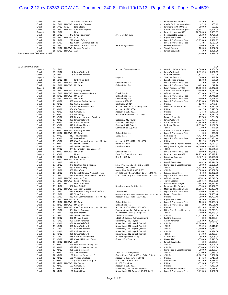## Case 2:12-cv-08333-ODW-JC Document 240-8 Filed 10/17/13 Page 7 of 8 Page ID #:4509

| Check                             | 10/16/12             |                            | 5169 Samuel Teitelbaum                              |                                                                      | $\sqrt{ }$             | Reimbursable Expenses              | $-55.00$     | 941.07                  |
|-----------------------------------|----------------------|----------------------------|-----------------------------------------------------|----------------------------------------------------------------------|------------------------|------------------------------------|--------------|-------------------------|
| Check                             |                      |                            | 10/16/12 ELEC WD American Express                   |                                                                      | $\sqrt{}$              | Credit Card Processing Fees        | $-7.95$      | 933.12                  |
| Check                             | 10/17/12 WIRE        |                            | John Steele                                         |                                                                      | $\checkmark$           | Payments to Old Owners             | $-300.00$    | 633.12                  |
| Check                             |                      |                            | 10/17/12 ELEC WD American Express                   |                                                                      | $\sqrt{}$              | Credit Card Processing Fees        | $-5,581.17$  | $-4,948.05$             |
| Deposit                           | 10/18/12             |                            | Pirates                                             |                                                                      | $\sqrt{}$              | From Account xx6943                | 10,000.00    | 5,051.95                |
| Check                             | 10/19/12             |                            | 5277 Peter Hansmeier                                | Arte / Mullen case                                                   | $\sqrt{ }$             | Reimbursable Expenses              | $-292.00$    | 4,759.95                |
| Check                             |                      | 10/19/12 ELEC WD ADP       |                                                     |                                                                      | $\sqrt{}$              | Payroll Service Fees               | $-13.00$     | 4,746.95                |
| Check                             | 10/25/12             |                            | 5278 Clerk of Court                                 |                                                                      | $\sqrt{}$              | Legal & Professional Fees          | $-3,150.00$  | 1,596.95                |
| Check                             | 10/25/12             |                            | 5289 Charter Communications                         |                                                                      | $\sqrt{ }$             | Legal & Professional Fees          | $-14.95$     | 1,582.00                |
| Check                             | 10/26/12             |                            | 5276 Federal Process Servers                        | AF Holdings v Drew                                                   | $\sqrt{}$              | Process Server Fees                | $-50.00$     | 1,532.00                |
| Check                             |                      |                            | 10/26/12 ELEC WD Bank of America                    |                                                                      |                        | <b>Travel Expense</b>              | $-100.00$    | 1,432.00                |
| Check                             |                      | 10/26/12 ELEC WD ADP       |                                                     |                                                                      |                        | Payroll Service Fees               | $-6.00$      | 1,426.00                |
| Total Chase Bank OPERATING xx6927 |                      |                            |                                                     |                                                                      |                        |                                    | 1,426.00     | 1,426.00                |
|                                   |                      |                            |                                                     |                                                                      |                        |                                    |              |                         |
| 53 OPERATING xx7365               |                      |                            |                                                     |                                                                      |                        |                                    |              | 0.00                    |
| Deposit                           | 09/28/12             |                            |                                                     | Account Opening Balance                                              | $\sqrt{}$              | Opening Balance Equity             | 4,000.00     | 4,000.00                |
| Check                             | 09/28/12             |                            | 2 James Waleford                                    |                                                                      |                        | James Waleford                     | $-2,333.33$  | 1,666.67                |
| Check                             | 09/28/12             |                            | 5 Kathleen Momot                                    |                                                                      | $\sqrt{}$              | Kathleen Momot                     | $-1,813.73$  | $-147.06$               |
| Deposit                           | 09/28/12             |                            |                                                     | Deposit                                                              | $\sqrt{ }$             | Transfer from JLS                  | 1,000.00     | 852.94                  |
| Check                             | 10/11/12 FEE         |                            | Fifth Third Bank                                    |                                                                      | $\sqrt{}$              | <b>Bank Service Charges</b>        | $-183.68$    | 669.26                  |
| Check                             |                      | 10/18/12 ELEC WD MN Court  |                                                     | Online filing fee                                                    | $\sqrt{}$              | Legal & Professional Fees          | $-5.00$      | 664.26                  |
| Check                             |                      | 10/18/12 ELEC WD MN Court  |                                                     | Online filing fee                                                    | $\sqrt{}$              | Legal & Professional Fees          | $-422.00$    | 242.26                  |
| Deposit                           | 10/18/12             |                            |                                                     |                                                                      | $\sqrt{}$              | From Account xx7293                | 15,000.00    | 15,242.26               |
| Check                             |                      |                            | 10/23/12 ELEC WD Gateway Services                   |                                                                      | $\sqrt{}$              | Credit Card Processing Fees        | $-109.60$    | 15,132.66               |
| Check                             |                      |                            | 10/26/12 ELEC WD Deluxe Business Products           | <b>Check Printing</b>                                                | $\sqrt{}$              | Office Expenses                    | $-379.48$    | 14,753.18               |
| Check                             |                      | 10/29/12 ELEC WD MN Court  |                                                     | Online filing fee                                                    | $\sqrt{}$              | Legal & Professional Fees          | $-5.00$      | 14,748.18               |
| Check                             |                      | 10/29/12 ELEC WD MN Court  |                                                     | Online filing fee                                                    | $\sqrt{ }$             | Legal & Professional Fees          | $-100.00$    | 14,648.18               |
| Check                             | 11/01/12             |                            | 1001 Aldenta Technologies                           | Invoice # 080482                                                     | $\sqrt{}$              | Legal & Professional Fees          | $-5,750.00$  | 8,898.18                |
| Check                             | 11/01/12             |                            | 1002 Global Connect                                 | Contract # 79314                                                     | $\sqrt{}$              | Utilities                          | $-127.04$    | 8,771.14                |
| Check                             | 11/01/12             |                            | 1003 PACER Service Center                           | Account SH6174 - Quarterly Dues                                      | $\sqrt{ }$             | Dues and Subscriptions             | $-213.50$    | 8,557.64                |
| Check                             | 11/01/12             |                            | 1004 ConService                                     | Account # 12830836                                                   | $\sqrt{}$              | <b>Utilities</b>                   | $-41.78$     | 8,515.86                |
| Check                             | 11/01/12             |                            | 1005 ConService                                     | Account # 12839811                                                   | $\sqrt{}$              | Utilities                          | $-34.78$     | 8,481.08                |
| Check                             | 11/01/12             |                            | 1006 NV Energy                                      | Acct # 3000296378714022233                                           |                        | <b>Utilities</b>                   | $-68.68$     | 8,412.40                |
| Check                             | 11/02/12             |                            | 1007 Delaware Attorney Services                     |                                                                      |                        | Process Server Fees                | $-117.80$    | 8,294.60                |
| Check                             | 11/02/12             |                            | 1009 James Waleford                                 | October, 2012 Payroll                                                |                        | James Waleford                     | $-2,333.33$  | 5,961.27                |
| Check                             | 11/02/12             |                            | 1010 Alison Perelman                                | October, 2012 Payroll                                                |                        | Alison Perelman                    | $-1,848.00$  | 4,113.27                |
| Check                             | 11/02/12             |                            | 1011 Kathleen Momot                                 | October, 2012 Payroll                                                | $\sqrt{}$              | Kathleen Momot                     | $-2,916.67$  | 1,196.60                |
| Check                             | 11/03/12             |                            | 1075 Brett Gibbs                                    | Correction to 10/2012                                                | $\sqrt{ }$             | -SPLIT-                            | $-720.00$    | 476.60                  |
| Check                             |                      |                            | 11/06/12 ELEC WD Gateway Services                   |                                                                      | $\sqrt{}$              | <b>Credit Card Processing Fees</b> | $-20.00$     | 456.60                  |
| Check                             |                      | 11/06/12 ELEC WD MN Court  |                                                     | Online filing fee                                                    |                        | Legal & Professional Fees          | $-5.00$      | 451.60                  |
| Check                             | 11/07/12             |                            | 1012 Tim Anderson                                   | 10/12 Cases                                                          | $\sqrt{}$              | Commission                         | $-4,425.00$  | $-3,973.40$             |
| Check                             | 11/07/12             |                            | 1013 Brett Gibbs                                    |                                                                      | $\sqrt{}$              | Legal & Professional Fees          |              | $-6,408.00 -10,381.40$  |
| Check                             | 11/07/12             |                            | 1071 Cox Communications, Inc. (Utility)             | Account # 001-8610-102462521                                         | $\sqrt{ }$             | Utilities                          |              | $-171.53 -10,552.93$    |
| Check                             | 11/07/12             |                            | 1072 Steven Goodhue                                 | Reimbursement                                                        | $\sqrt{}$              | Filing Fees & Legal Expenses       |              | $-6,000.00 - 16,552.93$ |
| Check                             | 11/07/12             |                            | 1073 Steven Goodhue                                 | Reimbursement                                                        | $\sqrt{}$              | Filing Fees & Legal Expenses       |              | $-6,000.00 -22,552.93$  |
| Check                             | 11/07/12             |                            | 1074 Postmaster - Las Vegas, NV                     |                                                                      | $\sqrt{ }$             | -SPLIT-                            |              | $-22.44 - 22,575.37$    |
| Check                             |                      | 11/07/12 ELEC WD MN Court  |                                                     | Online filing fee                                                    | $\sqrt{}$              | Legal & Professional Fees          |              | $-100.00 -22,675.37$    |
| Deposit                           | 11/07/12             |                            | Pirates                                             | From Old Operating account                                           |                        | From Account xx6927                | 78,752.66    | 56,077.29               |
| Check                             | 11/09/12             |                            | 1076 Pearl Insurance                                | ID # 1-16KNKV                                                        | $\sqrt{}$              | Insurance Expense                  | $-3,467.43$  | 52,609.86               |
| Check                             |                      |                            | 11/09/12 ELEC WD Vox Telesys, LLC                   |                                                                      | $\sqrt{ }$             | Utilities                          | $-25.00$     | 52,584.86               |
| Check                             | 11/13/12             |                            |                                                     |                                                                      | $\sqrt{ }$             | Payroll Service Fees               | $-68.30$     | 52,516.56               |
| Check                             |                      | 1078 ADP                   | 1079 Jonathan Wells Tappan                          |                                                                      |                        | Filing Fees & Legal Expenses       | $-350.00$    | 52,166.56               |
| Check                             | 11/13/12<br>11/13/12 |                            | 1080 Curtis Hussey                                  | Reimb. AF Holdings v Burnell - 1:12-cv-01256<br>October, 2012 Cases  | $\sqrt{}$<br>$\sqrt{}$ | -SPLIT-                            | -4,634.00    | 47,532.56               |
| Check                             |                      |                            | 1081 MetroCast                                      |                                                                      |                        | -SPLIT-                            |              |                         |
|                                   | 11/13/12             |                            |                                                     | Matter Nos. 0009, 0010 & 0011                                        | $\sqrt{ }$             |                                    | $-1,500.00$  | 46,032.56               |
| Check                             | 11/13/12             |                            | 1070 Special Delivery Process Servers               | AF Holdings v Roeum Hean 12-cv-1449 MN                               | $\sqrt{ }$             | Process Server Fees                | $-65.00$     | 45,967.56               |
| Check                             | 11/13/12             |                            | 1014 Cherokee County Sheriff's Office               | LS v Daniel Terry 12-cv-2526-EM GA Case                              | $\sqrt{ }$             | Legal & Professional Fees          | $-50.00$     | 45,917.56               |
| Check                             |                      |                            | 11/13/12 ELEC WD Amazon.Com                         |                                                                      |                        | Office Expenses                    | $-176.98$    | 45,740.58               |
| Check                             |                      |                            | 11/13/12 ELEC WD Bank of America                    |                                                                      | $\sqrt{ }$             | <b>Travel Expense</b>              |              | $-1,563.73$ 44,176.85   |
| Check                             | 11/13/12 FEE         |                            | Fifth Third Bank                                    |                                                                      |                        | <b>Bank Service Charges</b>        |              | $-504.00$ $43.672.85$   |
| Check                             | 11/14/12             |                            | 1082 Paul A. Duffy                                  | Reimbursement for filing fee                                         | $\sqrt{}$              | Reimbursable Expenses              | $-350.00$    | 43,322.85               |
| Check                             |                      |                            | 11/14/12 ELEC WD American Express                   |                                                                      | $\sqrt{}$              | Meals and Entertainment            | $-18,291.37$ | 25,031.48               |
| Check                             | 11/16/12             |                            | 1015 Colquitt County Sheriff"s Office               | 12-cv-0952                                                           |                        | Legal & Professional Fees          | $-50.00$     | 24,981.48               |
| Check                             | 11/19/12             |                            | 1016 Terry Botts                                    | Process Service AF Holdings v Stein Hals (12-1189) TN Case $\sqrt{}$ |                        | Process Server Fees                | $-80.00$     | 24,901.48               |
| Check                             | 11/19/12             |                            | 1083 Cox Communications, Inc. (Utility)             | Account # 001-8610-102462521                                         | $\sqrt{}$              | Utilities                          | -200.00      | 24,701.48               |
| Check                             |                      | 11/21/12 ELEC WD ADP       |                                                     |                                                                      | $\sqrt{}$              | Payroll Service Fees               | $-68.00$     | 24,633.48               |
| Check                             |                      | 11/23/12 ELEC WD MN Court  |                                                     | Online filing fee                                                    | $\sqrt{}$              | Legal & Professional Fees          | $-100.00$    | 24,533.48               |
| Check                             |                      | 11/23/12 ELEC WD MN Court  |                                                     | Online filing fee                                                    | $\sqrt{2}$             | Legal & Professional Fees          | $-8.00$      | 24,525.48               |
| Check                             |                      |                            | 11/25/12 ELEC WD Cox Communications, Inc. (Utility) | Account # 001-8610-120593001                                         | $\sqrt{}$              | Utilities                          | $-352.44$    | 24,173.04               |
| Check                             | 11/28/12             |                            | 1084 Daniel Ruggiero                                | Postage & Supplies Reimbursement                                     | $\sqrt{}$              | Filing Fees & Legal Expenses       | $-400.00$    | 23,773.04               |
| Check                             | 11/28/12             |                            | 1085 Sam Trenchi                                    | 2 Tennessee Cases / Filing Fees                                      | $\sqrt{}$              | -SPLIT-                            | $-700.00$    | 23,073.04               |
| Check                             | 11/28/12             |                            | 1086 Steven Goodhue                                 | 11/2012 Expenses                                                     | $\sqrt{}$              | -SPLIT-                            | $-1,112.00$  | 21,961.04               |
| Check                             | 11/29/12             |                            | 1087 Michael Dugas                                  | 11/2012 Expense Reimbursement                                        | $\sqrt{}$              | Parking Expenses                   | $-8.00$      | 21,953.04               |
| Check                             | 11/30/12             |                            | 1091 Alison Perelman                                | November, 2012 Payroll                                               |                        | Alison Perelman                    | $-1,752.00$  | 20,201.04               |
| Check                             | 11/30/12             |                            | 1088 James Waleford                                 | November, 2012 payroll (partial)                                     | $\sqrt{}$              | -SPLIT-                            | $-2,000.00$  | 18,201.04               |
| Check                             | 11/30/12             |                            | 1090 James Waleford                                 | November, 2012 payroll (partial)                                     | $\sqrt{}$              | -SPLIT-                            | $-690.33$    | 17,510.71               |
| Check                             | 11/30/12             |                            | 1092 Kathleen Momot                                 | November, 2012 payroll (partial)                                     | $\sqrt{}$              | -SPLIT-                            | $-2,100.00$  | 15,410.71               |
| Check                             | 11/30/12             |                            | 1093 Kathleen Momot                                 | November, 2012 payroll (partial)                                     | $\sqrt{}$              | -SPLIT-                            | $-816.67$    | 14,594.04               |
| Check                             | 11/30/12             |                            | 1095 James Waleford                                 | November, 2012 payroll (partial)                                     | $\sqrt{}$              | -SPLIT-                            | $-643.00$    | 13,951.04               |
| Check                             | 11/30/12             |                            | 1018 Rush Process Service                           | AF Holdings v Brad Delay                                             | $\sqrt{}$              | AF Holdings                        | $-56.00$     | 13,895.04               |
| Check                             | 11/30/12             |                            | 1017 Clerk, US District Court                       | Guava LLC v Tony Ly                                                  | $\sqrt{2}$             | Guava, LLC                         | -350.00      | 13,545.04               |
| Check                             |                      | 11/30/12 ELEC WD ADP       |                                                     |                                                                      | $\sqrt{}$              | Payroll Service Fees               | $-6.00$      | 13,539.04               |
| Check                             | 12/03/12             |                            | 1096 Elite Process Serving, Inc.                    |                                                                      | $\sqrt{}$              | -SPLIT-                            | $-130.00$    | 13,409.04               |
| Check                             | 12/03/12             |                            | 1097 Elite Process Serving, Inc.                    |                                                                      | $\sqrt{}$              | -SPLIT-                            | $-350.00$    | 13,059.04               |
| Check                             | 12/03/12             |                            | 1098 Alan Greenstein                                |                                                                      | $\sqrt{}$              | Filing Fees & Legal Expenses       | $-200.00$    | 12,859.04               |
| Check                             | 12/03/12             |                            | 1099 Tim Anderson                                   | 11/12 Cases & Expenses                                               |                        | -SPLIT-                            | $-1,920.00$  | 10,939.04               |
|                                   |                      |                            | 1100 Intercen Partners, LLC                         | Oracle Center Suite 0560 - 12/2012 Rent                              |                        | -SPLIT-                            | $-2,082.76$  |                         |
| Check                             | 12/03/12             |                            |                                                     |                                                                      | $\sqrt{}$              |                                    |              | 8,856.28                |
| Check                             | 12/03/12             |                            | 1101 Verizon Wireless                               | Account # 987358435-00001                                            | $\sqrt{}$              | Utilities                          | $-144.33$    | 8,711.95                |
| Check                             | 12/04/12             |                            | 1102 Jonathan Wells Tappan                          | Nov. 2012 Commission                                                 | $\sqrt{ }$             | Commission                         | $-375.00$    | 8,336.95                |
| Check                             |                      | 12/04/12 ELEC WD NV Energy |                                                     | #1109 Electricity                                                    | $\sqrt{ }$             | Utilities                          | $-335.88$    | 8,001.07                |
| Check                             | 12/04/12             |                            | 1103 ConService                                     | Account # 12839811                                                   | $\sqrt{}$              | Utilities                          | $-33.77$     | 7,967.30                |
| Check                             | 12/04/12             |                            | 1104 Brett Gibbs                                    | November, 2012 Admin Expenses                                        | $\sqrt{}$              | Reimbursable Expenses              | $-5,250.48$  | 2,716.82                |
| Check                             | 12/04/12             |                            | 1106 Brett Gibbs                                    | November, 2012 Comm. \$30,400 @ 4%                                   |                        | Legal & Professional Fees          | $-1,216.00$  | 1,500.82                |